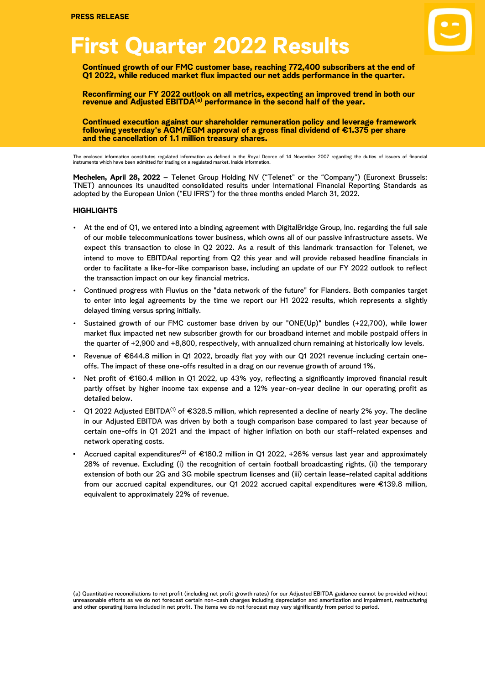# **First Quarter 2022 Results**



**Continued growth of our FMC customer base, reaching 772,400 subscribers at the end of Q1 2022, while reduced market flux impacted our net adds performance in the quarter.** o

t h **Reconfirming our FY 2022 outlook on all metrics, expecting an improved trend in both our revenue and Adjusted EBITDA(a) performance in the second half of the year.**

**Continued execution against our shareholder remuneration policy and leverage framework following yesterday's AGM/EGM approval of a gross final dividend of €1.375 per share and the cancellation of 1.1 million treasury shares.**

The enclosed information constitutes regulated information as defined in the Royal Decree of 14 November 2007 regarding the duties of issuers of financial<br>instruments which have been admitted for trading on a regulated mar

**Mechelen, April 28, 2022** – Telenet Group Holding NV ("Telenet" or the "Company") (Euronext Brussels: TNET) announces its unaudited consolidated results under International Financial Reporting Standards as adopted by the European Union ("EU IFRS") for the three months ended March 31, 2022.

#### **HIGHLIGHTS**

- At the end of Q1, we entered into a binding agreement with DigitalBridge Group, Inc. regarding the full sale of our mobile telecommunications tower business, which owns all of our passive infrastructure assets. We expect this transaction to close in Q2 2022. As a result of this landmark transaction for Telenet, we intend to move to EBITDAal reporting from Q2 this year and will provide rebased headline financials in order to facilitate a like-for-like comparison base, including an update of our FY 2022 outlook to reflect the transaction impact on our key financial metrics.
- Continued progress with Fluvius on the "data network of the future" for Flanders. Both companies target to enter into legal agreements by the time we report our H1 2022 results, which represents a slightly delayed timing versus spring initially.
- Sustained growth of our FMC customer base driven by our "ONE(Up)" bundles (+22,700), while lower market flux impacted net new subscriber growth for our broadband internet and mobile postpaid offers in the quarter of +2,900 and +8,800, respectively, with annualized churn remaining at historically low levels.
- Revenue of €644.8 million in Q1 2022, broadly flat yoy with our Q1 2021 revenue including certain oneoffs. The impact of these one-offs resulted in a drag on our revenue growth of around 1%.
- Net profit of €160.4 million in Q1 2022, up 43% yoy, reflecting a significantly improved financial result partly offset by higher income tax expense and a 12% year-on-year decline in our operating profit as detailed below.
- Q1 2022 Adjusted EBITDA<sup>(1)</sup> of €328.5 million, which represented a decline of nearly 2% yoy. The decline in our Adjusted EBITDA was driven by both a tough comparison base compared to last year because of certain one-offs in Q1 2021 and the impact of higher inflation on both our staff-related expenses and network operating costs.
- Accrued capital expenditures<sup>(2)</sup> of €180.2 million in Q1 2022, +26% versus last year and approximately 28% of revenue. Excluding (i) the recognition of certain football broadcasting rights, (ii) the temporary extension of both our 2G and 3G mobile spectrum licenses and (iii) certain lease-related capital additions from our accrued capital expenditures, our Q1 2022 accrued capital expenditures were €139.8 million, equivalent to approximately 22% of revenue.

<sup>(</sup>a) Quantitative reconciliations to net profit (including net profit growth rates) for our Adjusted EBITDA guidance cannot be provided without unreasonable efforts as we do not forecast certain non-cash charges including depreciation and amortization and impairment, restructuring and other operating items included in net profit. The items we do not forecast may vary significantly from period to period.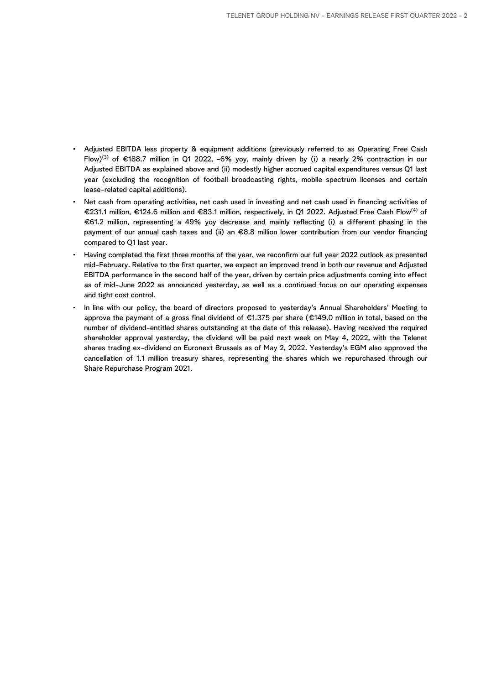- Adjusted EBITDA less property & equipment additions (previously referred to as Operating Free Cash Flow)<sup>(3)</sup> of €188.7 million in Q1 2022, -6% yoy, mainly driven by (i) a nearly 2% contraction in our Adjusted EBITDA as explained above and (ii) modestly higher accrued capital expenditures versus Q1 last year (excluding the recognition of football broadcasting rights, mobile spectrum licenses and certain lease-related capital additions).
- Net cash from operating activities, net cash used in investing and net cash used in financing activities of €231.1 million, €124.6 million and €83.1 million, respectively, in Q1 2022. Adjusted Free Cash Flow(4) of €61.2 million, representing a 49% yoy decrease and mainly reflecting (i) a different phasing in the payment of our annual cash taxes and (ii) an €8.8 million lower contribution from our vendor financing compared to Q1 last year.
- Having completed the first three months of the year, we reconfirm our full year 2022 outlook as presented mid-February. Relative to the first quarter, we expect an improved trend in both our revenue and Adjusted EBITDA performance in the second half of the year, driven by certain price adjustments coming into effect as of mid-June 2022 as announced yesterday, as well as a continued focus on our operating expenses and tight cost control.
- In line with our policy, the board of directors proposed to yesterday's Annual Shareholders' Meeting to approve the payment of a gross final dividend of €1.375 per share (€149.0 million in total, based on the number of dividend-entitled shares outstanding at the date of this release). Having received the required shareholder approval yesterday, the dividend will be paid next week on May 4, 2022, with the Telenet shares trading ex-dividend on Euronext Brussels as of May 2, 2022. Yesterday's EGM also approved the cancellation of 1.1 million treasury shares, representing the shares which we repurchased through our Share Repurchase Program 2021.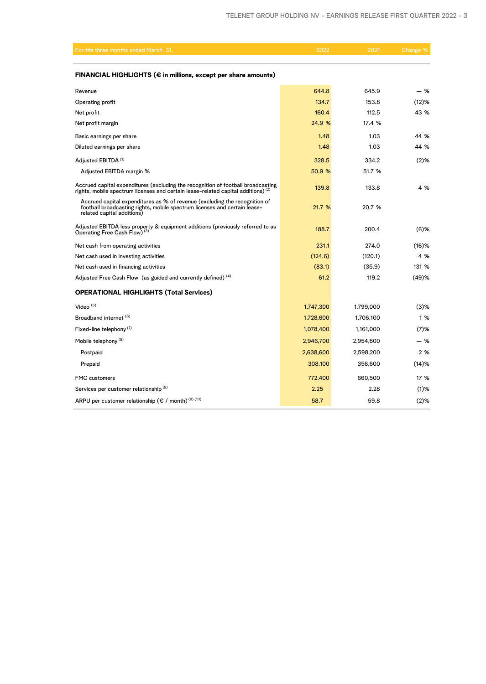| For the three months ended March 31,                                                                                                                                                  | 2022      | 2021      | Change <sup>%</sup> |
|---------------------------------------------------------------------------------------------------------------------------------------------------------------------------------------|-----------|-----------|---------------------|
| FINANCIAL HIGHLIGHTS ( $\epsilon$ in millions, except per share amounts)                                                                                                              |           |           |                     |
| Revenue                                                                                                                                                                               | 644.8     | 645.9     | - %                 |
| Operating profit                                                                                                                                                                      | 134.7     | 153.8     | (12)%               |
| Net profit                                                                                                                                                                            | 160.4     | 112.5     | 43 %                |
| Net profit margin                                                                                                                                                                     | 24.9 %    | 17.4 %    |                     |
| Basic earnings per share                                                                                                                                                              | 1.48      | 1.03      | 44 %                |
| Diluted earnings per share                                                                                                                                                            | 1.48      | 1.03      | 44 %                |
| Adjusted EBITDA <sup>(1)</sup>                                                                                                                                                        | 328.5     | 334.2     | $(2)$ %             |
| Adjusted EBITDA margin %                                                                                                                                                              | 50.9 %    | 51.7 %    |                     |
| Accrued capital expenditures (excluding the recognition of football broadcasting<br>rights, mobile spectrum licenses and certain lease-related capital additions) $(2)$               | 139.8     | 133.8     | 4 %                 |
| Accrued capital expenditures as % of revenue (excluding the recognition of<br>football broadcasting rights, mobile spectrum licenses and certain lease-<br>related capital additions) | 21.7 %    | 20.7 %    |                     |
| Adjusted EBITDA less property & equipment additions (previously referred to as<br>Operating Free Cash Flow) <sup>(3)</sup>                                                            | 188.7     | 200.4     | $(6)$ %             |
| Net cash from operating activities                                                                                                                                                    | 231.1     | 274.0     | $(16)$ %            |
| Net cash used in investing activities                                                                                                                                                 | (124.6)   | (120.1)   | 4 %                 |
| Net cash used in financing activities                                                                                                                                                 | (83.1)    | (35.9)    | 131 %               |
| Adjusted Free Cash Flow (as guided and currently defined) (4)                                                                                                                         | 61.2      | 119.2     | (49)%               |
| <b>OPERATIONAL HIGHLIGHTS (Total Services)</b>                                                                                                                                        |           |           |                     |
| Video $(5)$                                                                                                                                                                           | 1,747,300 | 1,799,000 | $(3)$ %             |
| Broadband internet (6)                                                                                                                                                                | 1,728,600 | 1,706,100 | 1 %                 |
| Fixed-line telephony <sup>(7)</sup>                                                                                                                                                   | 1,078,400 | 1,161,000 | $(7)$ %             |
| Mobile telephony <sup>(8)</sup>                                                                                                                                                       | 2,946,700 | 2,954,800 | - %                 |
| Postpaid                                                                                                                                                                              | 2,638,600 | 2,598,200 | 2 %                 |
| Prepaid                                                                                                                                                                               | 308,100   | 356,600   | $(14)$ %            |
| <b>FMC</b> customers                                                                                                                                                                  | 772,400   | 660,500   | 17 %                |
| Services per customer relationship <sup>(9)</sup>                                                                                                                                     | 2.25      | 2.28      | $(1)$ %             |

ARPU per customer relationship ( $\epsilon$  / month)<sup>(9)(10)</sup> 58.7 59.8 59.8 (2)%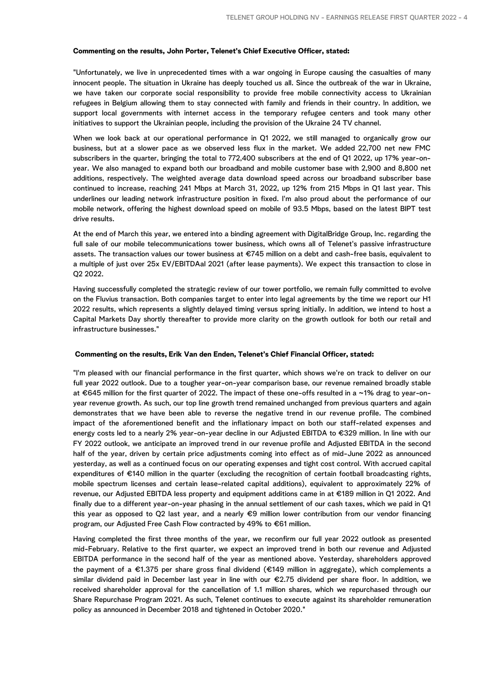#### **Commenting on the results, John Porter, Telenet's Chief Executive Officer, stated:**

"Unfortunately, we live in unprecedented times with a war ongoing in Europe causing the casualties of many innocent people. The situation in Ukraine has deeply touched us all. Since the outbreak of the war in Ukraine, we have taken our corporate social responsibility to provide free mobile connectivity access to Ukrainian refugees in Belgium allowing them to stay connected with family and friends in their country. In addition, we support local governments with internet access in the temporary refugee centers and took many other initiatives to support the Ukrainian people, including the provision of the Ukraine 24 TV channel.

When we look back at our operational performance in Q1 2022, we still managed to organically grow our business, but at a slower pace as we observed less flux in the market. We added 22,700 net new FMC subscribers in the quarter, bringing the total to 772,400 subscribers at the end of Q1 2022, up 17% year-onyear. We also managed to expand both our broadband and mobile customer base with 2,900 and 8,800 net additions, respectively. The weighted average data download speed across our broadband subscriber base continued to increase, reaching 241 Mbps at March 31, 2022, up 12% from 215 Mbps in Q1 last year. This underlines our leading network infrastructure position in fixed. I'm also proud about the performance of our mobile network, offering the highest download speed on mobile of 93.5 Mbps, based on the latest BIPT test drive results.

At the end of March this year, we entered into a binding agreement with DigitalBridge Group, Inc. regarding the full sale of our mobile telecommunications tower business, which owns all of Telenet's passive infrastructure assets. The transaction values our tower business at €745 million on a debt and cash-free basis, equivalent to a multiple of just over 25x EV/EBITDAal 2021 (after lease payments). We expect this transaction to close in Q2 2022.

Having successfully completed the strategic review of our tower portfolio, we remain fully committed to evolve on the Fluvius transaction. Both companies target to enter into legal agreements by the time we report our H1 2022 results, which represents a slightly delayed timing versus spring initially. In addition, we intend to host a Capital Markets Day shortly thereafter to provide more clarity on the growth outlook for both our retail and infrastructure businesses."

#### **Commenting on the results, Erik Van den Enden, Telenet's Chief Financial Officer, stated:**

"I'm pleased with our financial performance in the first quarter, which shows we're on track to deliver on our full year 2022 outlook. Due to a tougher year-on-year comparison base, our revenue remained broadly stable at €645 million for the first quarter of 2022. The impact of these one-offs resulted in a ~1% drag to year-onyear revenue growth. As such, our top line growth trend remained unchanged from previous quarters and again demonstrates that we have been able to reverse the negative trend in our revenue profile. The combined impact of the aforementioned benefit and the inflationary impact on both our staff-related expenses and energy costs led to a nearly 2% year-on-year decline in our Adjusted EBITDA to €329 million. In line with our FY 2022 outlook, we anticipate an improved trend in our revenue profile and Adjusted EBITDA in the second half of the year, driven by certain price adjustments coming into effect as of mid-June 2022 as announced yesterday, as well as a continued focus on our operating expenses and tight cost control. With accrued capital expenditures of €140 million in the quarter (excluding the recognition of certain football broadcasting rights, mobile spectrum licenses and certain lease-related capital additions), equivalent to approximately 22% of revenue, our Adjusted EBITDA less property and equipment additions came in at €189 million in Q1 2022. And finally due to a different year-on-year phasing in the annual settlement of our cash taxes, which we paid in Q1 this year as opposed to Q2 last year, and a nearly €9 million lower contribution from our vendor financing program, our Adjusted Free Cash Flow contracted by 49% to €61 million.

Having completed the first three months of the year, we reconfirm our full year 2022 outlook as presented mid-February. Relative to the first quarter, we expect an improved trend in both our revenue and Adjusted EBITDA performance in the second half of the year as mentioned above. Yesterday, shareholders approved the payment of a €1.375 per share gross final dividend (€149 million in aggregate), which complements a similar dividend paid in December last year in line with our €2.75 dividend per share floor. In addition, we received shareholder approval for the cancellation of 1.1 million shares, which we repurchased through our Share Repurchase Program 2021. As such, Telenet continues to execute against its shareholder remuneration policy as announced in December 2018 and tightened in October 2020."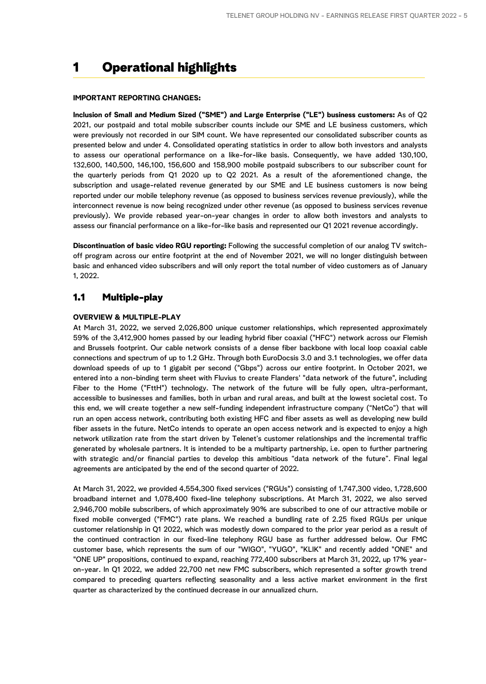## 1 Operational highlights

#### **IMPORTANT REPORTING CHANGES:**

**Inclusion of Small and Medium Sized ("SME") and Large Enterprise ("LE") business customers:** As of Q2 2021, our postpaid and total mobile subscriber counts include our SME and LE business customers, which were previously not recorded in our SIM count. We have represented our consolidated subscriber counts as presented below and under 4. Consolidated operating statistics in order to allow both investors and analysts to assess our operational performance on a like-for-like basis. Consequently, we have added 130,100, 132,600, 140,500, 146,100, 156,600 and 158,900 mobile postpaid subscribers to our subscriber count for the quarterly periods from Q1 2020 up to Q2 2021. As a result of the aforementioned change, the subscription and usage-related revenue generated by our SME and LE business customers is now being reported under our mobile telephony revenue (as opposed to business services revenue previously), while the interconnect revenue is now being recognized under other revenue (as opposed to business services revenue previously). We provide rebased year-on-year changes in order to allow both investors and analysts to assess our financial performance on a like-for-like basis and represented our Q1 2021 revenue accordingly.

**Discontinuation of basic video RGU reporting:** Following the successful completion of our analog TV switchoff program across our entire footprint at the end of November 2021, we will no longer distinguish between basic and enhanced video subscribers and will only report the total number of video customers as of January 1, 2022.

### 1.1 Multiple-play

#### **OVERVIEW & MULTIPLE-PLAY**

At March 31, 2022, we served 2,026,800 unique customer relationships, which represented approximately 59% of the 3,412,900 homes passed by our leading hybrid fiber coaxial ("HFC") network across our Flemish and Brussels footprint. Our cable network consists of a dense fiber backbone with local loop coaxial cable connections and spectrum of up to 1.2 GHz. Through both EuroDocsis 3.0 and 3.1 technologies, we offer data download speeds of up to 1 gigabit per second ("Gbps") across our entire footprint. In October 2021, we entered into a non-binding term sheet with Fluvius to create Flanders' "data network of the future", including Fiber to the Home ("FttH") technology. The network of the future will be fully open, ultra-performant, accessible to businesses and families, both in urban and rural areas, and built at the lowest societal cost. To this end, we will create together a new self-funding independent infrastructure company ("NetCo") that will run an open access network, contributing both existing HFC and fiber assets as well as developing new build fiber assets in the future. NetCo intends to operate an open access network and is expected to enjoy a high network utilization rate from the start driven by Telenet's customer relationships and the incremental traffic generated by wholesale partners. It is intended to be a multiparty partnership, i.e. open to further partnering with strategic and/or financial parties to develop this ambitious "data network of the future". Final legal agreements are anticipated by the end of the second quarter of 2022.

At March 31, 2022, we provided 4,554,300 fixed services ("RGUs") consisting of 1,747,300 video, 1,728,600 broadband internet and 1,078,400 fixed-line telephony subscriptions. At March 31, 2022, we also served 2,946,700 mobile subscribers, of which approximately 90% are subscribed to one of our attractive mobile or fixed mobile converged ("FMC") rate plans. We reached a bundling rate of 2.25 fixed RGUs per unique customer relationship in Q1 2022, which was modestly down compared to the prior year period as a result of the continued contraction in our fixed-line telephony RGU base as further addressed below. Our FMC customer base, which represents the sum of our "WIGO", "YUGO", "KLIK" and recently added "ONE" and "ONE UP" propositions, continued to expand, reaching 772,400 subscribers at March 31, 2022, up 17% yearon-year. In Q1 2022, we added 22,700 net new FMC subscribers, which represented a softer growth trend compared to preceding quarters reflecting seasonality and a less active market environment in the first quarter as characterized by the continued decrease in our annualized churn.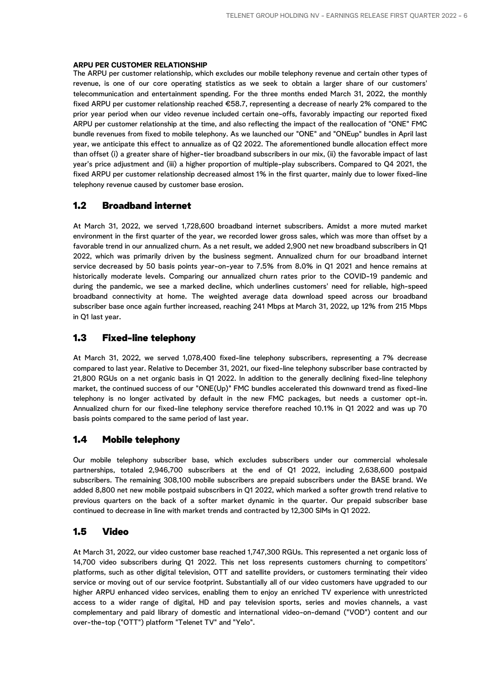#### **ARPU PER CUSTOMER RELATIONSHIP**

The ARPU per customer relationship, which excludes our mobile telephony revenue and certain other types of revenue, is one of our core operating statistics as we seek to obtain a larger share of our customers' telecommunication and entertainment spending. For the three months ended March 31, 2022, the monthly fixed ARPU per customer relationship reached €58.7, representing a decrease of nearly 2% compared to the prior year period when our video revenue included certain one-offs, favorably impacting our reported fixed ARPU per customer relationship at the time, and also reflecting the impact of the reallocation of "ONE" FMC bundle revenues from fixed to mobile telephony. As we launched our "ONE" and "ONEup" bundles in April last year, we anticipate this effect to annualize as of Q2 2022. The aforementioned bundle allocation effect more than offset (i) a greater share of higher-tier broadband subscribers in our mix, (ii) the favorable impact of last year's price adjustment and (iii) a higher proportion of multiple-play subscribers. Compared to Q4 2021, the fixed ARPU per customer relationship decreased almost 1% in the first quarter, mainly due to lower fixed-line telephony revenue caused by customer base erosion.

## 1.2 Broadband internet

At March 31, 2022, we served 1,728,600 broadband internet subscribers. Amidst a more muted market environment in the first quarter of the year, we recorded lower gross sales, which was more than offset by a favorable trend in our annualized churn. As a net result, we added 2,900 net new broadband subscribers in Q1 2022, which was primarily driven by the business segment. Annualized churn for our broadband internet service decreased by 50 basis points year-on-year to 7.5% from 8.0% in Q1 2021 and hence remains at historically moderate levels. Comparing our annualized churn rates prior to the COVID-19 pandemic and during the pandemic, we see a marked decline, which underlines customers' need for reliable, high-speed broadband connectivity at home. The weighted average data download speed across our broadband subscriber base once again further increased, reaching 241 Mbps at March 31, 2022, up 12% from 215 Mbps in Q1 last year.

## 1.3 Fixed-line telephony

At March 31, 2022, we served 1,078,400 fixed-line telephony subscribers, representing a 7% decrease compared to last year. Relative to December 31, 2021, our fixed-line telephony subscriber base contracted by 21,800 RGUs on a net organic basis in Q1 2022. In addition to the generally declining fixed-line telephony market, the continued success of our "ONE(Up)" FMC bundles accelerated this downward trend as fixed-line telephony is no longer activated by default in the new FMC packages, but needs a customer opt-in. Annualized churn for our fixed-line telephony service therefore reached 10.1% in Q1 2022 and was up 70 basis points compared to the same period of last year.

### 1.4 Mobile telephony

Our mobile telephony subscriber base, which excludes subscribers under our commercial wholesale partnerships, totaled 2,946,700 subscribers at the end of Q1 2022, including 2,638,600 postpaid subscribers. The remaining 308,100 mobile subscribers are prepaid subscribers under the BASE brand. We added 8,800 net new mobile postpaid subscribers in Q1 2022, which marked a softer growth trend relative to previous quarters on the back of a softer market dynamic in the quarter. Our prepaid subscriber base continued to decrease in line with market trends and contracted by 12,300 SIMs in Q1 2022.

## 1.5 Video

At March 31, 2022, our video customer base reached 1,747,300 RGUs. This represented a net organic loss of 14,700 video subscribers during Q1 2022. This net loss represents customers churning to competitors' platforms, such as other digital television, OTT and satellite providers, or customers terminating their video service or moving out of our service footprint. Substantially all of our video customers have upgraded to our higher ARPU enhanced video services, enabling them to enjoy an enriched TV experience with unrestricted access to a wider range of digital, HD and pay television sports, series and movies channels, a vast complementary and paid library of domestic and international video-on-demand ("VOD") content and our over-the-top ("OTT") platform "Telenet TV" and "Yelo".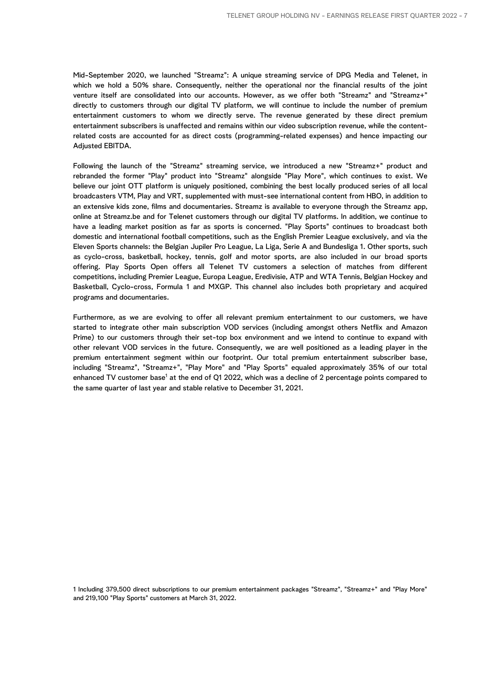Mid-September 2020, we launched "Streamz": A unique streaming service of DPG Media and Telenet, in which we hold a 50% share. Consequently, neither the operational nor the financial results of the joint venture itself are consolidated into our accounts. However, as we offer both "Streamz" and "Streamz+" directly to customers through our digital TV platform, we will continue to include the number of premium entertainment customers to whom we directly serve. The revenue generated by these direct premium entertainment subscribers is unaffected and remains within our video subscription revenue, while the contentrelated costs are accounted for as direct costs (programming-related expenses) and hence impacting our Adjusted EBITDA.

Following the launch of the "Streamz" streaming service, we introduced a new "Streamz+" product and rebranded the former "Play" product into "Streamz" alongside "Play More", which continues to exist. We believe our joint OTT platform is uniquely positioned, combining the best locally produced series of all local broadcasters VTM, Play and VRT, supplemented with must-see international content from HBO, in addition to an extensive kids zone, films and documentaries. Streamz is available to everyone through the Streamz app, online at Streamz.be and for Telenet customers through our digital TV platforms. In addition, we continue to have a leading market position as far as sports is concerned. "Play Sports" continues to broadcast both domestic and international football competitions, such as the English Premier League exclusively, and via the Eleven Sports channels: the Belgian Jupiler Pro League, La Liga, Serie A and Bundesliga 1. Other sports, such as cyclo-cross, basketball, hockey, tennis, golf and motor sports, are also included in our broad sports offering. Play Sports Open offers all Telenet TV customers a selection of matches from different competitions, including Premier League, Europa League, Eredivisie, ATP and WTA Tennis, Belgian Hockey and Basketball, Cyclo-cross, Formula 1 and MXGP. This channel also includes both proprietary and acquired programs and documentaries.

Furthermore, as we are evolving to offer all relevant premium entertainment to our customers, we have started to integrate other main subscription VOD services (including amongst others Netflix and Amazon Prime) to our customers through their set-top box environment and we intend to continue to expand with other relevant VOD services in the future. Consequently, we are well positioned as a leading player in the premium entertainment segment within our footprint. Our total premium entertainment subscriber base, including "Streamz", "Streamz+", "Play More" and "Play Sports" equaled approximately 35% of our total enhanced TV customer base<sup>1</sup> at the end of Q1 2022, which was a decline of 2 percentage points compared to the same quarter of last year and stable relative to December 31, 2021.

1 Including 379,500 direct subscriptions to our premium entertainment packages "Streamz", "Streamz+" and "Play More" and 219,100 "Play Sports" customers at March 31, 2022.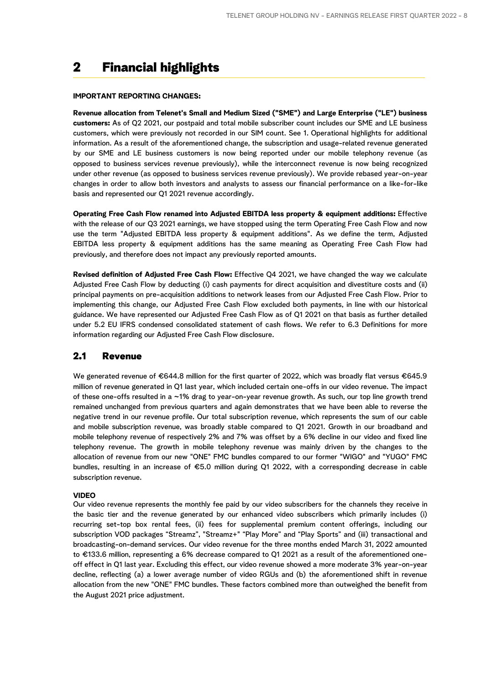## 2 Financial highlights

#### **IMPORTANT REPORTING CHANGES:**

**Revenue allocation from Telenet's Small and Medium Sized ("SME") and Large Enterprise ("LE") business customers:** As of Q2 2021, our postpaid and total mobile subscriber count includes our SME and LE business customers, which were previously not recorded in our SIM count. See 1. Operational highlights for additional information. As a result of the aforementioned change, the subscription and usage-related revenue generated by our SME and LE business customers is now being reported under our mobile telephony revenue (as opposed to business services revenue previously), while the interconnect revenue is now being recognized under other revenue (as opposed to business services revenue previously). We provide rebased year-on-year changes in order to allow both investors and analysts to assess our financial performance on a like-for-like basis and represented our Q1 2021 revenue accordingly.

**Operating Free Cash Flow renamed into Adjusted EBITDA less property & equipment additions:** Effective with the release of our Q3 2021 earnings, we have stopped using the term Operating Free Cash Flow and now use the term "Adjusted EBITDA less property & equipment additions". As we define the term, Adjusted EBITDA less property & equipment additions has the same meaning as Operating Free Cash Flow had previously, and therefore does not impact any previously reported amounts.

**Revised definition of Adjusted Free Cash Flow:** Effective Q4 2021, we have changed the way we calculate Adjusted Free Cash Flow by deducting (i) cash payments for direct acquisition and divestiture costs and (ii) principal payments on pre-acquisition additions to network leases from our Adjusted Free Cash Flow. Prior to implementing this change, our Adjusted Free Cash Flow excluded both payments, in line with our historical guidance. We have represented our Adjusted Free Cash Flow as of Q1 2021 on that basis as further detailed under 5.2 EU IFRS condensed consolidated statement of cash flows. We refer to 6.3 Definitions for more information regarding our Adjusted Free Cash Flow disclosure.

## 2.1 Revenue

We generated revenue of €644.8 million for the first quarter of 2022, which was broadly flat versus €645.9 million of revenue generated in Q1 last year, which included certain one-offs in our video revenue. The impact of these one-offs resulted in a ~1% drag to year-on-year revenue growth. As such, our top line growth trend remained unchanged from previous quarters and again demonstrates that we have been able to reverse the negative trend in our revenue profile. Our total subscription revenue, which represents the sum of our cable and mobile subscription revenue, was broadly stable compared to Q1 2021. Growth in our broadband and mobile telephony revenue of respectively 2% and 7% was offset by a 6% decline in our video and fixed line telephony revenue. The growth in mobile telephony revenue was mainly driven by the changes to the allocation of revenue from our new "ONE" FMC bundles compared to our former "WIGO" and "YUGO" FMC bundles, resulting in an increase of €5.0 million during Q1 2022, with a corresponding decrease in cable subscription revenue.

#### **VIDEO**

Our video revenue represents the monthly fee paid by our video subscribers for the channels they receive in the basic tier and the revenue generated by our enhanced video subscribers which primarily includes (i) recurring set-top box rental fees, (ii) fees for supplemental premium content offerings, including our subscription VOD packages "Streamz", "Streamz+" "Play More" and "Play Sports" and (iii) transactional and broadcasting-on-demand services. Our video revenue for the three months ended March 31, 2022 amounted to €133.6 million, representing a 6% decrease compared to Q1 2021 as a result of the aforementioned oneoff effect in Q1 last year. Excluding this effect, our video revenue showed a more moderate 3% year-on-year decline, reflecting (a) a lower average number of video RGUs and (b) the aforementioned shift in revenue allocation from the new "ONE" FMC bundles. These factors combined more than outweighed the benefit from the August 2021 price adjustment.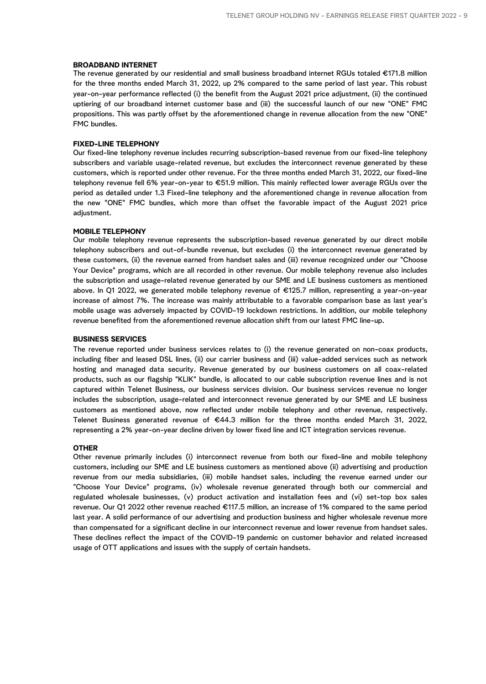#### **BROADBAND INTERNET**

The revenue generated by our residential and small business broadband internet RGUs totaled €171.8 million for the three months ended March 31, 2022, up 2% compared to the same period of last year. This robust year-on-year performance reflected (i) the benefit from the August 2021 price adjustment, (ii) the continued uptiering of our broadband internet customer base and (iii) the successful launch of our new "ONE" FMC propositions. This was partly offset by the aforementioned change in revenue allocation from the new "ONE" FMC bundles.

#### **FIXED-LINE TELEPHONY**

Our fixed-line telephony revenue includes recurring subscription-based revenue from our fixed-line telephony subscribers and variable usage-related revenue, but excludes the interconnect revenue generated by these customers, which is reported under other revenue. For the three months ended March 31, 2022, our fixed-line telephony revenue fell 6% year-on-year to €51.9 million. This mainly reflected lower average RGUs over the period as detailed under 1.3 Fixed-line telephony and the aforementioned change in revenue allocation from the new "ONE" FMC bundles, which more than offset the favorable impact of the August 2021 price adjustment.

#### **MOBILE TELEPHONY**

Our mobile telephony revenue represents the subscription-based revenue generated by our direct mobile telephony subscribers and out-of-bundle revenue, but excludes (i) the interconnect revenue generated by these customers, (ii) the revenue earned from handset sales and (iii) revenue recognized under our "Choose Your Device" programs, which are all recorded in other revenue. Our mobile telephony revenue also includes the subscription and usage-related revenue generated by our SME and LE business customers as mentioned above. In Q1 2022, we generated mobile telephony revenue of €125.7 million, representing a year-on-year increase of almost 7%. The increase was mainly attributable to a favorable comparison base as last year's mobile usage was adversely impacted by COVID-19 lockdown restrictions. In addition, our mobile telephony revenue benefited from the aforementioned revenue allocation shift from our latest FMC line-up.

#### **BUSINESS SERVICES**

The revenue reported under business services relates to (i) the revenue generated on non-coax products, including fiber and leased DSL lines, (ii) our carrier business and (iii) value-added services such as network hosting and managed data security. Revenue generated by our business customers on all coax-related products, such as our flagship "KLIK" bundle, is allocated to our cable subscription revenue lines and is not captured within Telenet Business, our business services division. Our business services revenue no longer includes the subscription, usage-related and interconnect revenue generated by our SME and LE business customers as mentioned above, now reflected under mobile telephony and other revenue, respectively. Telenet Business generated revenue of €44.3 million for the three months ended March 31, 2022, representing a 2% year-on-year decline driven by lower fixed line and ICT integration services revenue.

#### **OTHER**

Other revenue primarily includes (i) interconnect revenue from both our fixed-line and mobile telephony customers, including our SME and LE business customers as mentioned above (ii) advertising and production revenue from our media subsidiaries, (iii) mobile handset sales, including the revenue earned under our "Choose Your Device" programs, (iv) wholesale revenue generated through both our commercial and regulated wholesale businesses, (v) product activation and installation fees and (vi) set-top box sales revenue. Our Q1 2022 other revenue reached €117.5 million, an increase of 1% compared to the same period last year. A solid performance of our advertising and production business and higher wholesale revenue more than compensated for a significant decline in our interconnect revenue and lower revenue from handset sales. These declines reflect the impact of the COVID-19 pandemic on customer behavior and related increased usage of OTT applications and issues with the supply of certain handsets.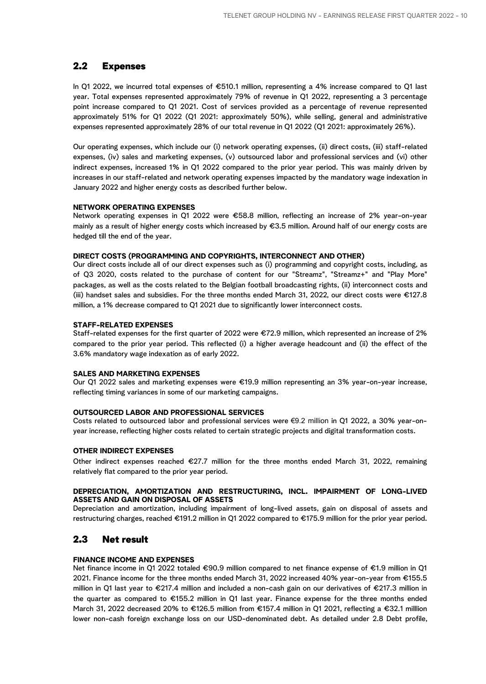## 2.2 Expenses

In Q1 2022, we incurred total expenses of €510.1 million, representing a 4% increase compared to Q1 last year. Total expenses represented approximately 79% of revenue in Q1 2022, representing a 3 percentage point increase compared to Q1 2021. Cost of services provided as a percentage of revenue represented approximately 51% for Q1 2022 (Q1 2021: approximately 50%), while selling, general and administrative expenses represented approximately 28% of our total revenue in Q1 2022 (Q1 2021: approximately 26%).

Our operating expenses, which include our (i) network operating expenses, (ii) direct costs, (iii) staff-related expenses, (iv) sales and marketing expenses, (v) outsourced labor and professional services and (vi) other indirect expenses, increased 1% in Q1 2022 compared to the prior year period. This was mainly driven by increases in our staff-related and network operating expenses impacted by the mandatory wage indexation in January 2022 and higher energy costs as described further below.

#### **NETWORK OPERATING EXPENSES**

Network operating expenses in Q1 2022 were €58.8 million, reflecting an increase of 2% year-on-year mainly as a result of higher energy costs which increased by €3.5 million. Around half of our energy costs are hedged till the end of the year.

#### **DIRECT COSTS (PROGRAMMING AND COPYRIGHTS, INTERCONNECT AND OTHER)**

Our direct costs include all of our direct expenses such as (i) programming and copyright costs, including, as of Q3 2020, costs related to the purchase of content for our "Streamz", "Streamz+" and "Play More" packages, as well as the costs related to the Belgian football broadcasting rights, (ii) interconnect costs and (iii) handset sales and subsidies. For the three months ended March 31, 2022, our direct costs were €127.8 million, a 1% decrease compared to Q1 2021 due to significantly lower interconnect costs.

#### **STAFF-RELATED EXPENSES**

Staff-related expenses for the first quarter of 2022 were €72.9 million, which represented an increase of 2% compared to the prior year period. This reflected (i) a higher average headcount and (ii) the effect of the 3.6% mandatory wage indexation as of early 2022.

#### **SALES AND MARKETING EXPENSES**

Our Q1 2022 sales and marketing expenses were €19.9 million representing an 3% year-on-year increase, reflecting timing variances in some of our marketing campaigns.

#### **OUTSOURCED LABOR AND PROFESSIONAL SERVICES**

Costs related to outsourced labor and professional services were €9.2 million in Q1 2022, a 30% year-onyear increase, reflecting higher costs related to certain strategic projects and digital transformation costs.

#### **OTHER INDIRECT EXPENSES**

Other indirect expenses reached  $\epsilon$ 27.7 million for the three months ended March 31, 2022, remaining relatively flat compared to the prior year period.

#### **DEPRECIATION, AMORTIZATION AND RESTRUCTURING, INCL. IMPAIRMENT OF LONG-LIVED ASSETS AND GAIN ON DISPOSAL OF ASSETS**

Depreciation and amortization, including impairment of long-lived assets, gain on disposal of assets and restructuring charges, reached €191.2 million in Q1 2022 compared to €175.9 million for the prior year period.

### 2.3 Net result

#### **FINANCE INCOME AND EXPENSES**

Net finance income in Q1 2022 totaled €90.9 million compared to net finance expense of €1.9 million in Q1 2021. Finance income for the three months ended March 31, 2022 increased 40% year-on-year from €155.5 million in Q1 last year to €217.4 million and included a non-cash gain on our derivatives of €217.3 million in the quarter as compared to €155.2 million in Q1 last year. Finance expense for the three months ended March 31, 2022 decreased 20% to €126.5 million from €157.4 million in Q1 2021, reflecting a €32.1 milllion lower non-cash foreign exchange loss on our USD-denominated debt. As detailed under 2.8 Debt profile,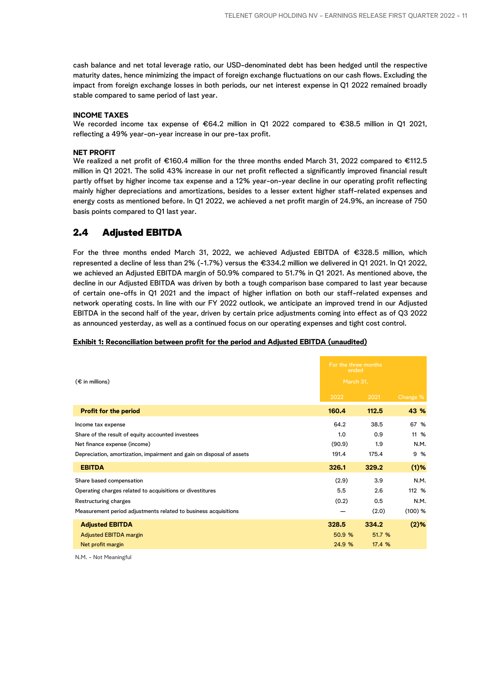cash balance and net total leverage ratio, our USD-denominated debt has been hedged until the respective maturity dates, hence minimizing the impact of foreign exchange fluctuations on our cash flows. Excluding the impact from foreign exchange losses in both periods, our net interest expense in Q1 2022 remained broadly stable compared to same period of last year.

#### **INCOME TAXES**

We recorded income tax expense of €64.2 million in Q1 2022 compared to €38.5 million in Q1 2021, reflecting a 49% year-on-year increase in our pre-tax profit.

#### **NET PROFIT**

We realized a net profit of €160.4 million for the three months ended March 31, 2022 compared to €112.5 million in Q1 2021. The solid 43% increase in our net profit reflected a significantly improved financial result partly offset by higher income tax expense and a 12% year-on-year decline in our operating profit reflecting mainly higher depreciations and amortizations, besides to a lesser extent higher staff-related expenses and energy costs as mentioned before. In Q1 2022, we achieved a net profit margin of 24.9%, an increase of 750 basis points compared to Q1 last year.

### 2.4 Adjusted EBITDA

For the three months ended March 31, 2022, we achieved Adjusted EBITDA of €328.5 million, which represented a decline of less than 2% (-1.7%) versus the €334.2 million we delivered in Q1 2021. In Q1 2022, we achieved an Adjusted EBITDA margin of 50.9% compared to 51.7% in Q1 2021. As mentioned above, the decline in our Adjusted EBITDA was driven by both a tough comparison base compared to last year because of certain one-offs in Q1 2021 and the impact of higher inflation on both our staff-related expenses and network operating costs. In line with our FY 2022 outlook, we anticipate an improved trend in our Adjusted EBITDA in the second half of the year, driven by certain price adjustments coming into effect as of Q3 2022 as announced yesterday, as well as a continued focus on our operating expenses and tight cost control.

#### **Exhibit 1: Reconciliation between profit for the period and Adjusted EBITDA (unaudited)**

| $(\epsilon$ in millions)                                              | For the three months<br>ended<br>March 31, |        |           |
|-----------------------------------------------------------------------|--------------------------------------------|--------|-----------|
|                                                                       | 2022                                       | 2021   | Change %  |
| <b>Profit for the period</b>                                          | 160.4                                      | 112.5  | 43 %      |
| Income tax expense                                                    | 64.2                                       | 38.5   | 67 %      |
| Share of the result of equity accounted investees                     | 1.0                                        | 0.9    | 11 %      |
| Net finance expense (income)                                          | (90.9)                                     | 1.9    | N.M.      |
| Depreciation, amortization, impairment and gain on disposal of assets | 191.4                                      | 175.4  | 9 %       |
| <b>EBITDA</b>                                                         | 326.1                                      | 329.2  | $(1)$ %   |
| Share based compensation                                              | (2.9)                                      | 3.9    | N.M.      |
| Operating charges related to acquisitions or divestitures             | 5.5                                        | 2.6    | 112 %     |
| Restructuring charges                                                 | (0.2)                                      | 0.5    | N.M.      |
| Measurement period adjustments related to business acquisitions       |                                            | (2.0)  | $(100)$ % |
| <b>Adjusted EBITDA</b>                                                | 328.5                                      | 334.2  | $(2)$ %   |
| <b>Adjusted EBITDA margin</b>                                         | 50.9 %                                     | 51.7 % |           |
| Net profit margin                                                     | 24.9 %                                     | 17.4 % |           |

N.M. - Not Meaningful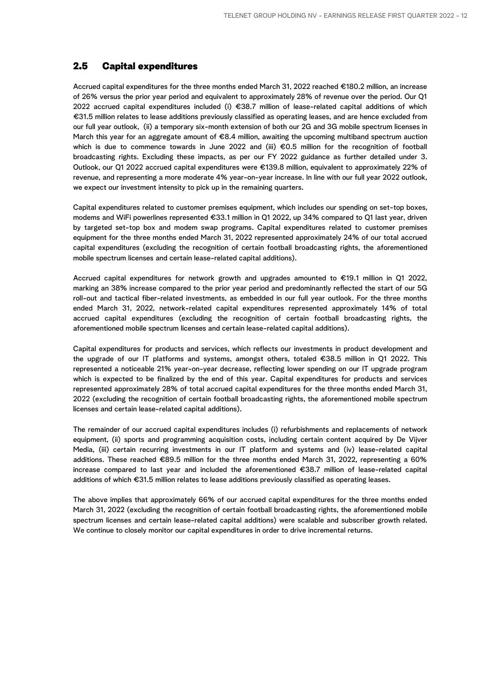## 2.5 Capital expenditures

Accrued capital expenditures for the three months ended March 31, 2022 reached €180.2 million, an increase of 26% versus the prior year period and equivalent to approximately 28% of revenue over the period. Our Q1 2022 accrued capital expenditures included (i) €38.7 million of lease-related capital additions of which €31.5 million relates to Iease additions previously classified as operating leases, and are hence excluded from our full year outlook, (ii) a temporary six-month extension of both our 2G and 3G mobile spectrum licenses in March this year for an aggregate amount of €8.4 million, awaiting the upcoming multiband spectrum auction which is due to commence towards in June 2022 and (iii) €0.5 million for the recognition of football broadcasting rights. Excluding these impacts, as per our FY 2022 guidance as further detailed under 3. Outlook, our Q1 2022 accrued capital expenditures were €139.8 million, equivalent to approximately 22% of revenue, and representing a more moderate 4% year-on-year increase. In line with our full year 2022 outlook, we expect our investment intensity to pick up in the remaining quarters.

Capital expenditures related to customer premises equipment, which includes our spending on set-top boxes, modems and WiFi powerlines represented €33.1 million in Q1 2022, up 34% compared to Q1 last year, driven by targeted set-top box and modem swap programs. Capital expenditures related to customer premises equipment for the three months ended March 31, 2022 represented approximately 24% of our total accrued capital expenditures (excluding the recognition of certain football broadcasting rights, the aforementioned mobile spectrum licenses and certain lease-related capital additions).

Accrued capital expenditures for network growth and upgrades amounted to €19.1 million in Q1 2022, marking an 38% increase compared to the prior year period and predominantly reflected the start of our 5G roll-out and tactical fiber-related investments, as embedded in our full year outlook. For the three months ended March 31, 2022, network-related capital expenditures represented approximately 14% of total accrued capital expenditures (excluding the recognition of certain football broadcasting rights, the aforementioned mobile spectrum licenses and certain lease-related capital additions).

Capital expenditures for products and services, which reflects our investments in product development and the upgrade of our IT platforms and systems, amongst others, totaled €38.5 million in Q1 2022. This represented a noticeable 21% year-on-year decrease, reflecting lower spending on our IT upgrade program which is expected to be finalized by the end of this year. Capital expenditures for products and services represented approximately 28% of total accrued capital expenditures for the three months ended March 31, 2022 (excluding the recognition of certain football broadcasting rights, the aforementioned mobile spectrum licenses and certain lease-related capital additions).

The remainder of our accrued capital expenditures includes (i) refurbishments and replacements of network equipment, (ii) sports and programming acquisition costs, including certain content acquired by De Vijver Media, (iii) certain recurring investments in our IT platform and systems and (iv) lease-related capital additions. These reached €89.5 million for the three months ended March 31, 2022, representing a 60% increase compared to last year and included the aforementioned €38.7 million of lease-related capital additions of which €31.5 million relates to Iease additions previously classified as operating leases.

The above implies that approximately 66% of our accrued capital expenditures for the three months ended March 31, 2022 (excluding the recognition of certain football broadcasting rights, the aforementioned mobile spectrum licenses and certain lease-related capital additions) were scalable and subscriber growth related. We continue to closely monitor our capital expenditures in order to drive incremental returns.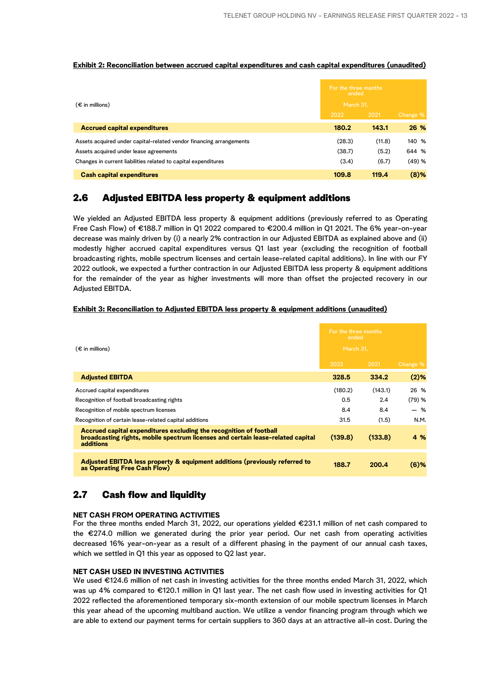#### **Exhibit 2: Reconciliation between accrued capital expenditures and cash capital expenditures (unaudited)**

| $(\epsilon$ in millions)                                            |        | For the three months<br>ended<br>March 31. |          |
|---------------------------------------------------------------------|--------|--------------------------------------------|----------|
|                                                                     | 2022   | 2021                                       | Change % |
| <b>Accrued capital expenditures</b>                                 | 180.2  | 143.1                                      | 26 %     |
| Assets acquired under capital-related vendor financing arrangements | (28.3) | (11.8)                                     | 140 %    |
| Assets acquired under lease agreements                              | (38.7) | (5.2)                                      | 644 %    |
| Changes in current liabilities related to capital expenditures      | (3.4)  | (6.7)                                      | (49) %   |
| <b>Cash capital expenditures</b>                                    | 109.8  | 119.4                                      | $(8)$ %  |

## 2.6 Adjusted EBITDA less property & equipment additions

We yielded an Adjusted EBITDA less property & equipment additions (previously referred to as Operating Free Cash Flow) of €188.7 million in Q1 2022 compared to €200.4 million in Q1 2021. The 6% year-on-year decrease was mainly driven by (i) a nearly 2% contraction in our Adjusted EBITDA as explained above and (ii) modestly higher accrued capital expenditures versus Q1 last year (excluding the recognition of football broadcasting rights, mobile spectrum licenses and certain lease-related capital additions). In line with our FY 2022 outlook, we expected a further contraction in our Adjusted EBITDA less property & equipment additions for the remainder of the year as higher investments will more than offset the projected recovery in our Adjusted EBITDA.

#### **Exhibit 3: Reconciliation to Adjusted EBITDA less property & equipment additions (unaudited)**

|                                                                                                                                                                    | For the three months<br>ended |           |          |  |
|--------------------------------------------------------------------------------------------------------------------------------------------------------------------|-------------------------------|-----------|----------|--|
| $(\epsilon$ in millions)                                                                                                                                           |                               | March 31, |          |  |
|                                                                                                                                                                    | 2022                          | 2021      | Change % |  |
| <b>Adjusted EBITDA</b>                                                                                                                                             | 328.5                         | 334.2     | $(2)$ %  |  |
| Accrued capital expenditures                                                                                                                                       | (180.2)                       | (143.1)   | 26 %     |  |
| Recognition of football broadcasting rights                                                                                                                        | 0.5                           | 2.4       | (79) %   |  |
| Recognition of mobile spectrum licenses                                                                                                                            | 8.4                           | 8.4       | - %      |  |
| Recognition of certain lease-related capital additions                                                                                                             | 31.5                          | (1.5)     | N.M.     |  |
| Accrued capital expenditures excluding the recognition of football<br>broadcasting rights, mobile spectrum licenses and certain lease-related capital<br>additions | (139.8)                       | (133.8)   | 4 %      |  |
| Adjusted EBITDA less property & equipment additions (previously referred to<br>as Operating Free Cash Flow)                                                        | 188.7                         | 200.4     | $(6)$ %  |  |

## 2.7 Cash flow and liquidity

#### **NET CASH FROM OPERATING ACTIVITIES**

For the three months ended March 31, 2022, our operations yielded €231.1 million of net cash compared to the €274.0 million we generated during the prior year period. Our net cash from operating activities decreased 16% year-on-year as a result of a different phasing in the payment of our annual cash taxes, which we settled in Q1 this year as opposed to Q2 last year.

#### **NET CASH USED IN INVESTING ACTIVITIES**

We used €124.6 million of net cash in investing activities for the three months ended March 31, 2022, which was up 4% compared to €120.1 million in Q1 last year. The net cash flow used in investing activities for Q1 2022 reflected the aforementioned temporary six-month extension of our mobile spectrum licenses in March this year ahead of the upcoming multiband auction. We utilize a vendor financing program through which we are able to extend our payment terms for certain suppliers to 360 days at an attractive all-in cost. During the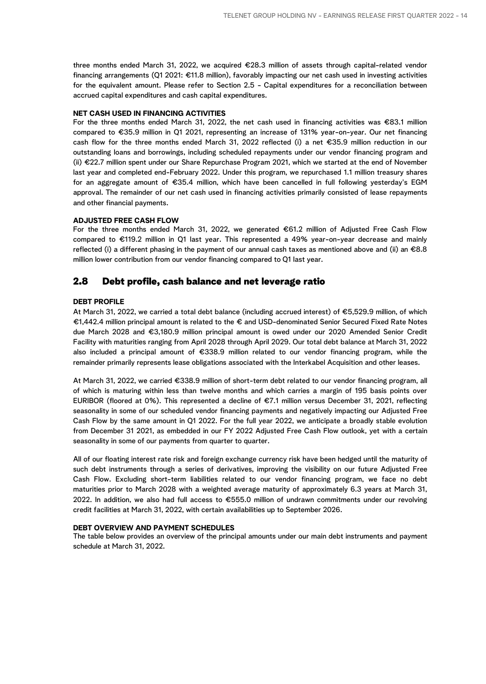three months ended March 31, 2022, we acquired €28.3 million of assets through capital-related vendor financing arrangements (Q1 2021: €11.8 million), favorably impacting our net cash used in investing activities for the equivalent amount. Please refer to Section 2.5 - Capital expenditures for a reconciliation between accrued capital expenditures and cash capital expenditures.

#### **NET CASH USED IN FINANCING ACTIVITIES**

For the three months ended March 31, 2022, the net cash used in financing activities was €83.1 million compared to €35.9 million in Q1 2021, representing an increase of 131% year-on-year. Our net financing cash flow for the three months ended March 31, 2022 reflected (i) a net €35.9 million reduction in our outstanding loans and borrowings, including scheduled repayments under our vendor financing program and (ii) €22.7 million spent under our Share Repurchase Program 2021, which we started at the end of November last year and completed end-February 2022. Under this program, we repurchased 1.1 million treasury shares for an aggregate amount of €35.4 million, which have been cancelled in full following yesterday's EGM approval. The remainder of our net cash used in financing activities primarily consisted of lease repayments and other financial payments.

#### **ADJUSTED FREE CASH FLOW**

For the three months ended March 31, 2022, we generated €61.2 million of Adjusted Free Cash Flow compared to €119.2 million in Q1 last year. This represented a 49% year-on-year decrease and mainly reflected (i) a different phasing in the payment of our annual cash taxes as mentioned above and (ii) an €8.8 million lower contribution from our vendor financing compared to Q1 last year.

### 2.8 Debt profile, cash balance and net leverage ratio

#### **DEBT PROFILE**

At March 31, 2022, we carried a total debt balance (including accrued interest) of €5,529.9 million, of which €1,442.4 million principal amount is related to the € and USD-denominated Senior Secured Fixed Rate Notes due March 2028 and €3,180.9 million principal amount is owed under our 2020 Amended Senior Credit Facility with maturities ranging from April 2028 through April 2029. Our total debt balance at March 31, 2022 also included a principal amount of €338.9 million related to our vendor financing program, while the remainder primarily represents lease obligations associated with the Interkabel Acquisition and other leases.

At March 31, 2022, we carried €338.9 million of short-term debt related to our vendor financing program, all of which is maturing within less than twelve months and which carries a margin of 195 basis points over EURIBOR (floored at 0%). This represented a decline of €7.1 million versus December 31, 2021, reflecting seasonality in some of our scheduled vendor financing payments and negatively impacting our Adjusted Free Cash Flow by the same amount in Q1 2022. For the full year 2022, we anticipate a broadly stable evolution from December 31 2021, as embedded in our FY 2022 Adjusted Free Cash Flow outlook, yet with a certain seasonality in some of our payments from quarter to quarter.

All of our floating interest rate risk and foreign exchange currency risk have been hedged until the maturity of such debt instruments through a series of derivatives, improving the visibility on our future Adjusted Free Cash Flow. Excluding short-term liabilities related to our vendor financing program, we face no debt maturities prior to March 2028 with a weighted average maturity of approximately 6.3 years at March 31, 2022. In addition, we also had full access to €555.0 million of undrawn commitments under our revolving credit facilities at March 31, 2022, with certain availabilities up to September 2026.

#### **DEBT OVERVIEW AND PAYMENT SCHEDULES**

The table below provides an overview of the principal amounts under our main debt instruments and payment schedule at March 31, 2022.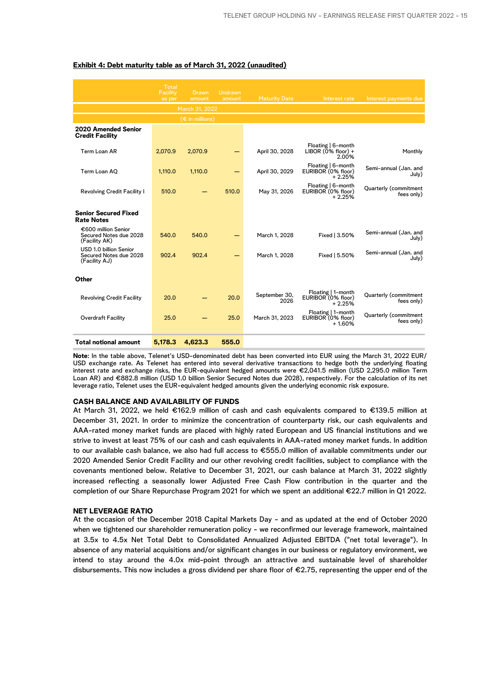|                                                                   | <b>Total</b><br>Facility<br>as per | Drawn<br>amount          | <b>Undrawn</b><br>amount | <b>Maturity Date</b>  | Interest rate                                        | Interest payments due               |
|-------------------------------------------------------------------|------------------------------------|--------------------------|--------------------------|-----------------------|------------------------------------------------------|-------------------------------------|
|                                                                   |                                    | March 31, 2022           |                          |                       |                                                      |                                     |
|                                                                   |                                    | $(\epsilon$ in millions) |                          |                       |                                                      |                                     |
| 2020 Amended Senior<br><b>Credit Facility</b>                     |                                    |                          |                          |                       |                                                      |                                     |
| Term Loan AR                                                      | 2,070.9                            | 2.070.9                  |                          | April 30, 2028        | Floating   6-month<br>LIBOR $(0\%$ floor) +<br>2.00% | Monthly                             |
| Term Loan AO                                                      | 1.110.0                            | 1.110.0                  |                          | April 30, 2029        | Floating   6-month<br>EURIBOR (0% floor)<br>$+2.25%$ | Semi-annual (Jan. and<br>July)      |
| Revolving Credit Facility I                                       | 510.0                              |                          | 510.0                    | May 31, 2026          | Floating   6-month<br>EURIBOR (0% floor)<br>$+2.25%$ | Quarterly (commitment<br>fees only) |
| <b>Senior Secured Fixed</b><br><b>Rate Notes</b>                  |                                    |                          |                          |                       |                                                      |                                     |
| €600 million Senior<br>Secured Notes due 2028<br>(Facility AK)    | 540.0                              | 540.0                    |                          | March 1, 2028         | Fixed   3.50%                                        | Semi-annual (Jan. and<br>July)      |
| USD 1.0 billion Senior<br>Secured Notes due 2028<br>(Facility AJ) | 902.4                              | 902.4                    |                          | March 1, 2028         | Fixed   5.50%                                        | Semi-annual (Jan. and<br>July)      |
| Other                                                             |                                    |                          |                          |                       |                                                      |                                     |
| <b>Revolving Credit Facility</b>                                  | 20.0                               |                          | 20.0                     | September 30,<br>2026 | Floating   1-month<br>EURIBOR (0% floor)<br>$+2.25%$ | Quarterly (commitment<br>fees only) |
| Overdraft Facility                                                | 25.0                               |                          | 25.0                     | March 31, 2023        | Floating   1-month<br>EURIBOR (0% floor)<br>$+1.60%$ | Quarterly (commitment<br>fees only) |
| <b>Total notional amount</b>                                      | 5,178.3                            | 4,623.3                  | 555.0                    |                       |                                                      |                                     |

#### **Exhibit 4: Debt maturity table as of March 31, 2022 (unaudited)**

**Note**: In the table above, Telenet's USD-denominated debt has been converted into EUR using the March 31, 2022 EUR/ USD exchange rate. As Telenet has entered into several derivative transactions to hedge both the underlying floating interest rate and exchange risks, the EUR-equivalent hedged amounts were €2,041.5 million (USD 2,295.0 million Term Loan AR) and €882.8 million (USD 1.0 billion Senior Secured Notes due 2028), respectively. For the calculation of its net leverage ratio, Telenet uses the EUR-equivalent hedged amounts given the underlying economic risk exposure.

#### **CASH BALANCE AND AVAILABILITY OF FUNDS**

At March 31, 2022, we held €162.9 million of cash and cash equivalents compared to €139.5 million at December 31, 2021. In order to minimize the concentration of counterparty risk, our cash equivalents and AAA-rated money market funds are placed with highly rated European and US financial institutions and we strive to invest at least 75% of our cash and cash equivalents in AAA-rated money market funds. In addition to our available cash balance, we also had full access to €555.0 million of available commitments under our 2020 Amended Senior Credit Facility and our other revolving credit facilities, subject to compliance with the covenants mentioned below. Relative to December 31, 2021, our cash balance at March 31, 2022 slightly increased reflecting a seasonally lower Adjusted Free Cash Flow contribution in the quarter and the completion of our Share Repurchase Program 2021 for which we spent an additional €22.7 million in Q1 2022.

#### **NET LEVERAGE RATIO**

At the occasion of the December 2018 Capital Markets Day - and as updated at the end of October 2020 when we tightened our shareholder remuneration policy - we reconfirmed our leverage framework, maintained at 3.5x to 4.5x Net Total Debt to Consolidated Annualized Adjusted EBITDA ("net total leverage"). In absence of any material acquisitions and/or significant changes in our business or regulatory environment, we intend to stay around the 4.0x mid-point through an attractive and sustainable level of shareholder disbursements. This now includes a gross dividend per share floor of €2.75, representing the upper end of the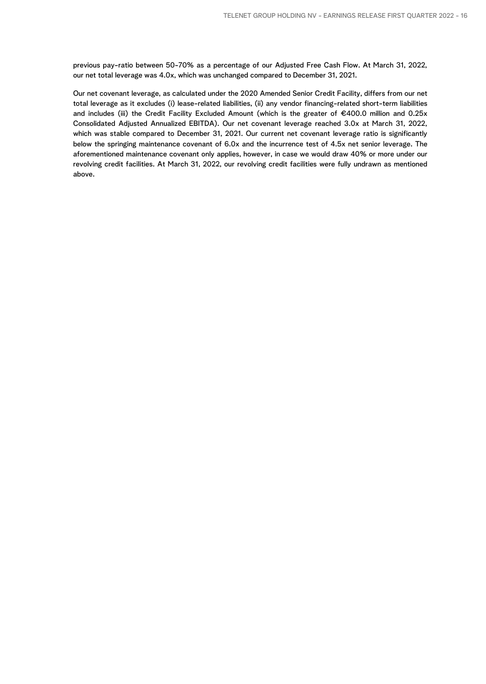previous pay-ratio between 50-70% as a percentage of our Adjusted Free Cash Flow. At March 31, 2022, our net total leverage was 4.0x, which was unchanged compared to December 31, 2021.

Our net covenant leverage, as calculated under the 2020 Amended Senior Credit Facility, differs from our net total leverage as it excludes (i) lease-related liabilities, (ii) any vendor financing-related short-term liabilities and includes (iii) the Credit Facility Excluded Amount (which is the greater of €400.0 million and 0.25x Consolidated Adjusted Annualized EBITDA). Our net covenant leverage reached 3.0x at March 31, 2022, which was stable compared to December 31, 2021. Our current net covenant leverage ratio is significantly below the springing maintenance covenant of 6.0x and the incurrence test of 4.5x net senior leverage. The aforementioned maintenance covenant only applies, however, in case we would draw 40% or more under our revolving credit facilities. At March 31, 2022, our revolving credit facilities were fully undrawn as mentioned above.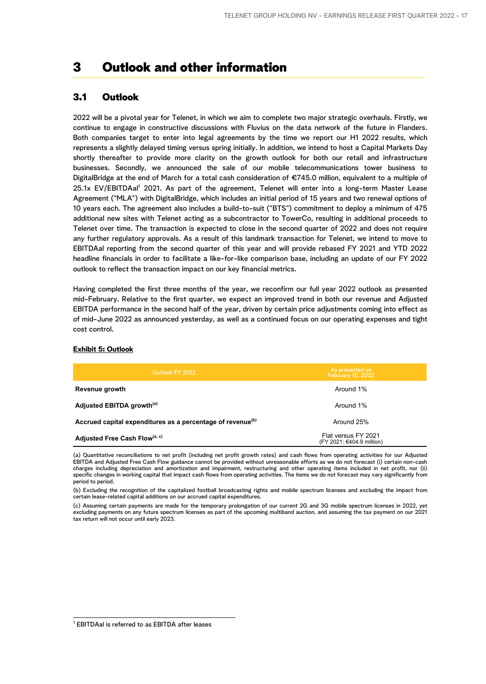## 3 Outlook and other information

## 3.1 Outlook

2022 will be a pivotal year for Telenet, in which we aim to complete two major strategic overhauls. Firstly, we continue to engage in constructive discussions with Fluvius on the data network of the future in Flanders. Both companies target to enter into legal agreements by the time we report our H1 2022 results, which represents a slightly delayed timing versus spring initially. In addition, we intend to host a Capital Markets Day shortly thereafter to provide more clarity on the growth outlook for both our retail and infrastructure businesses. Secondly, we announced the sale of our mobile telecommunications tower business to DigitalBridge at the end of March for a total cash consideration of €745.0 million, equivalent to a multiple of 25.1x EV/EBITDAal<sup>1</sup> 2021. As part of the agreement, Telenet will enter into a long-term Master Lease Agreement ("MLA") with DigitalBridge, which includes an initial period of 15 years and two renewal options of 10 years each. The agreement also includes a build-to-suit ("BTS") commitment to deploy a minimum of 475 additional new sites with Telenet acting as a subcontractor to TowerCo, resulting in additional proceeds to Telenet over time. The transaction is expected to close in the second quarter of 2022 and does not require any further regulatory approvals. As a result of this landmark transaction for Telenet, we intend to move to EBITDAal reporting from the second quarter of this year and will provide rebased FY 2021 and YTD 2022 headline financials in order to facilitate a like-for-like comparison base, including an update of our FY 2022 outlook to reflect the transaction impact on our key financial metrics.

Having completed the first three months of the year, we reconfirm our full year 2022 outlook as presented mid-February. Relative to the first quarter, we expect an improved trend in both our revenue and Adjusted EBITDA performance in the second half of the year, driven by certain price adjustments coming into effect as of mid-June 2022 as announced yesterday, as well as a continued focus on our operating expenses and tight cost control.

| Outlook FY 2022                                                        | As presented on<br><b>February 10, 2022</b>      |
|------------------------------------------------------------------------|--------------------------------------------------|
| Revenue growth                                                         | Around 1%                                        |
| Adjusted EBITDA growth <sup>(a)</sup>                                  | Around 1%                                        |
| Accrued capital expenditures as a percentage of revenue <sup>(b)</sup> | Around 25%                                       |
| Adjusted Free Cash Flow <sup>(a, c)</sup>                              | Flat versus FY 2021<br>(FY 2021: €404.9 million) |

#### **Exhibit 5: Outlook**

(a) Quantitative reconciliations to net profit (including net profit growth rates) and cash flows from operating activities for our Adjusted EBITDA and Adjusted Free Cash Flow guidance cannot be provided without unreasonable efforts as we do not forecast (i) certain non-cash charges including depreciation and amortization and impairment, restructuring and other operating items included in net profit, nor (ii) specific changes in working capital that impact cash flows from operating activities. The items we do not forecast may vary significantly from period to period.

(b) Excluding the recognition of the capitalized football broadcasting rights and mobile spectrum licenses and excluding the impact from certain lease-related capital additions on our accrued capital expenditures.

(c) Assuming certain payments are made for the temporary prolongation of our current 2G and 3G mobile spectrum licenses in 2022, yet excluding payments on any future spectrum licenses as part of the upcoming multiband auction, and assuming the tax payment on our 2021 tax return will not occur until early 2023.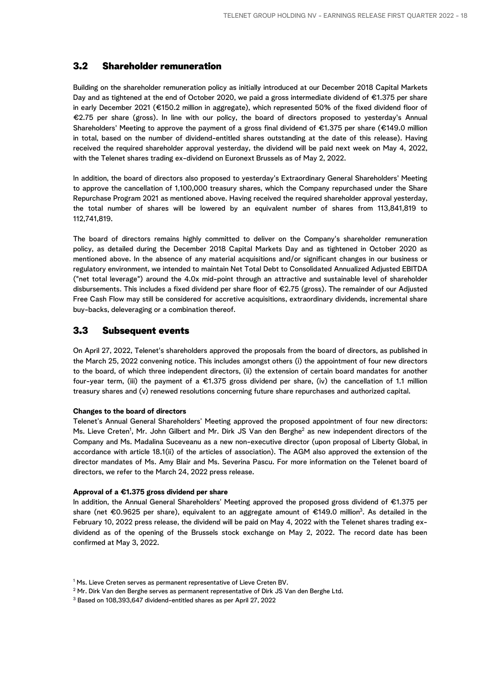## 3.2 Shareholder remuneration

Building on the shareholder remuneration policy as initially introduced at our December 2018 Capital Markets Day and as tightened at the end of October 2020, we paid a gross intermediate dividend of €1.375 per share in early December 2021 (€150.2 million in aggregate), which represented 50% of the fixed dividend floor of €2.75 per share (gross). In line with our policy, the board of directors proposed to yesterday's Annual Shareholders' Meeting to approve the payment of a gross final dividend of €1.375 per share (€149.0 million in total, based on the number of dividend-entitled shares outstanding at the date of this release). Having received the required shareholder approval yesterday, the dividend will be paid next week on May 4, 2022, with the Telenet shares trading ex-dividend on Euronext Brussels as of May 2, 2022.

In addition, the board of directors also proposed to yesterday's Extraordinary General Shareholders' Meeting to approve the cancellation of 1,100,000 treasury shares, which the Company repurchased under the Share Repurchase Program 2021 as mentioned above. Having received the required shareholder approval yesterday, the total number of shares will be lowered by an equivalent number of shares from 113,841,819 to 112,741,819.

The board of directors remains highly committed to deliver on the Company's shareholder remuneration policy, as detailed during the December 2018 Capital Markets Day and as tightened in October 2020 as mentioned above. In the absence of any material acquisitions and/or significant changes in our business or regulatory environment, we intended to maintain Net Total Debt to Consolidated Annualized Adjusted EBITDA ("net total leverage") around the 4.0x mid-point through an attractive and sustainable level of shareholder disbursements. This includes a fixed dividend per share floor of €2.75 (gross). The remainder of our Adjusted Free Cash Flow may still be considered for accretive acquisitions, extraordinary dividends, incremental share buy-backs, deleveraging or a combination thereof.

## 3.3 Subsequent events

On April 27, 2022, Telenet's shareholders approved the proposals from the board of directors, as published in the March 25, 2022 convening notice. This includes amongst others (i) the appointment of four new directors to the board, of which three independent directors, (ii) the extension of certain board mandates for another four-year term, (iii) the payment of a €1.375 gross dividend per share, (iv) the cancellation of 1.1 million treasury shares and (v) renewed resolutions concerning future share repurchases and authorized capital.

#### **Changes to the board of directors**

Telenet's Annual General Shareholders' Meeting approved the proposed appointment of four new directors: Ms. Lieve Creten<sup>1</sup>, Mr. John Gilbert and Mr. Dirk JS Van den Berghe<sup>2</sup> as new independent directors of the Company and Ms. Madalina Suceveanu as a new non-executive director (upon proposal of Liberty Global, in accordance with article 18.1(ii) of the articles of association). The AGM also approved the extension of the director mandates of Ms. Amy Blair and Ms. Severina Pascu. For more information on the Telenet board of directors, we refer to the March 24, 2022 press release.

#### **Approval of a €1.375 gross dividend per share**

In addition, the Annual General Shareholders' Meeting approved the proposed gross dividend of €1.375 per share (net €0.9625 per share), equivalent to an aggregate amount of €149.0 million<sup>3</sup> . As detailed in the February 10, 2022 press release, the dividend will be paid on May 4, 2022 with the Telenet shares trading exdividend as of the opening of the Brussels stock exchange on May 2, 2022. The record date has been confirmed at May 3, 2022.

<sup>&</sup>lt;sup>1</sup> Ms. Lieve Creten serves as permanent representative of Lieve Creten BV.

 $^2$  Mr. Dirk Van den Berghe serves as permanent representative of Dirk JS Van den Berghe Ltd.

<sup>3</sup> Based on 108,393,647 dividend-entitled shares as per April 27, 2022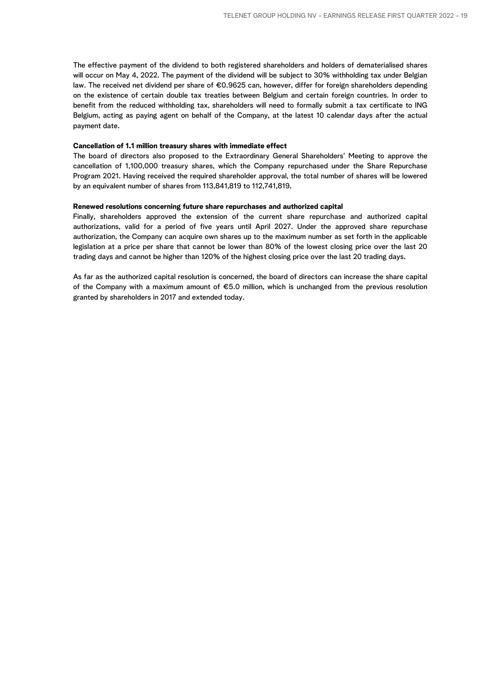The effective payment of the dividend to both registered shareholders and holders of dematerialised shares will occur on May 4, 2022. The payment of the dividend will be subject to 30% withholding tax under Belgian law. The received net dividend per share of €0.9625 can, however, differ for foreign shareholders depending on the existence of certain double tax treaties between Belgium and certain foreign countries. In order to benefit from the reduced withholding tax, shareholders will need to formally submit a tax certificate to ING Belgium, acting as paying agent on behalf of the Company, at the latest 10 calendar days after the actual payment date.

#### **Cancellation of 1.1 million treasury shares with immediate effect**

The board of directors also proposed to the Extraordinary General Shareholders' Meeting to approve the cancellation of 1,100,000 treasury shares, which the Company repurchased under the Share Repurchase Program 2021. Having received the required shareholder approval, the total number of shares will be lowered by an equivalent number of shares from 113,841,819 to 112,741,819.

#### **Renewed resolutions concerning future share repurchases and authorized capital**

Finally, shareholders approved the extension of the current share repurchase and authorized capital authorizations, valid for a period of five years until April 2027. Under the approved share repurchase authorization, the Company can acquire own shares up to the maximum number as set forth in the applicable legislation at a price per share that cannot be lower than 80% of the lowest closing price over the last 20 trading days and cannot be higher than 120% of the highest closing price over the last 20 trading days.

As far as the authorized capital resolution is concerned, the board of directors can increase the share capital of the Company with a maximum amount of €5.0 million, which is unchanged from the previous resolution granted by shareholders in 2017 and extended today.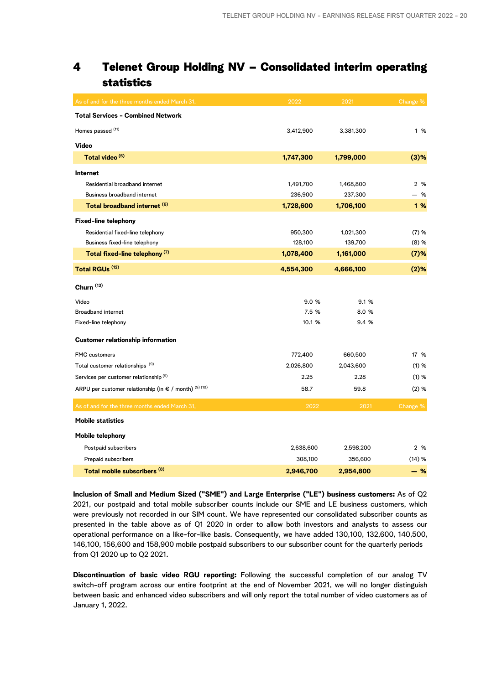## 4 Telenet Group Holding NV – Consolidated interim operating statistics

| As of and for the three months ended March 31,                  | 2022      | 2021      | Change %            |
|-----------------------------------------------------------------|-----------|-----------|---------------------|
| <b>Total Services - Combined Network</b>                        |           |           |                     |
| Homes passed (11)                                               | 3,412,900 | 3,381,300 | 1 %                 |
| <b>Video</b>                                                    |           |           |                     |
| Total video <sup>(5)</sup>                                      | 1,747,300 | 1,799,000 | $(3)$ %             |
| Internet                                                        |           |           |                     |
| Residential broadband internet                                  | 1,491,700 | 1,468,800 | 2 %                 |
| <b>Business broadband internet</b>                              | 236,900   | 237,300   | - %                 |
| Total broadband internet (6)                                    | 1,728,600 | 1,706,100 | 1%                  |
| <b>Fixed-line telephony</b>                                     |           |           |                     |
| Residential fixed-line telephony                                | 950,300   | 1,021,300 | (7) %               |
| Business fixed-line telephony                                   | 128,100   | 139,700   | (8) %               |
| Total fixed-line telephony <sup>(7)</sup>                       | 1,078,400 | 1,161,000 | $(7)$ %             |
| Total RGUs <sup>(12)</sup>                                      | 4,554,300 | 4,666,100 | $(2)$ %             |
| Churn <sup>(13)</sup>                                           |           |           |                     |
| Video                                                           | 9.0%      | 9.1%      |                     |
| <b>Broadband internet</b>                                       | 7.5 %     | 8.0 %     |                     |
| Fixed-line telephony                                            | 10.1 %    | 9.4 %     |                     |
| <b>Customer relationship information</b>                        |           |           |                     |
| <b>FMC</b> customers                                            | 772,400   | 660,500   | 17 %                |
| Total customer relationships <sup>(9)</sup>                     | 2,026,800 | 2,043,600 | (1) %               |
| Services per customer relationship <sup>(9)</sup>               | 2.25      | 2.28      | (1) %               |
| ARPU per customer relationship (in $\epsilon$ / month) (9) (10) | 58.7      | 59.8      | (2) %               |
| As of and for the three months ended March 31,                  | 2022      | 2021      | Change <sup>%</sup> |
| <b>Mobile statistics</b>                                        |           |           |                     |
| Mobile telephony                                                |           |           |                     |
| Postpaid subscribers                                            | 2,638,600 | 2,598,200 | 2 %                 |
| Prepaid subscribers                                             | 308,100   | 356,600   | (14) %              |
| Total mobile subscribers (8)                                    | 2,946,700 | 2,954,800 | $-$ %               |

**Inclusion of Small and Medium Sized ("SME") and Large Enterprise ("LE") business customers:** As of Q2 2021, our postpaid and total mobile subscriber counts include our SME and LE business customers, which were previously not recorded in our SIM count. We have represented our consolidated subscriber counts as presented in the table above as of Q1 2020 in order to allow both investors and analysts to assess our operational performance on a like-for-like basis. Consequently, we have added 130,100, 132,600, 140,500, 146,100, 156,600 and 158,900 mobile postpaid subscribers to our subscriber count for the quarterly periods from Q1 2020 up to Q2 2021.

**Discontinuation of basic video RGU reporting:** Following the successful completion of our analog TV switch-off program across our entire footprint at the end of November 2021, we will no longer distinguish between basic and enhanced video subscribers and will only report the total number of video customers as of January 1, 2022.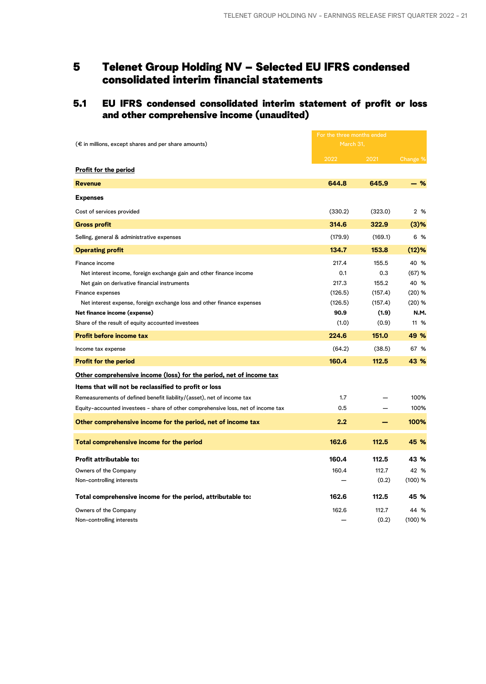## 5 Telenet Group Holding NV – Selected EU IFRS condensed consolidated interim financial statements

## 5.1 EU IFRS condensed consolidated interim statement of profit or loss and other comprehensive income (unaudited)

|                                                                                   |           | For the three months ended |           |  |
|-----------------------------------------------------------------------------------|-----------|----------------------------|-----------|--|
| $(\epsilon$ in millions, except shares and per share amounts)                     | March 31, |                            |           |  |
|                                                                                   | 2022      | 2021                       | Change %  |  |
| Profit for the period                                                             |           |                            |           |  |
| <b>Revenue</b>                                                                    | 644.8     | 645.9                      | $-$ %     |  |
| <b>Expenses</b>                                                                   |           |                            |           |  |
| Cost of services provided                                                         | (330.2)   | (323.0)                    | 2 %       |  |
| <b>Gross profit</b>                                                               | 314.6     | 322.9                      | $(3)$ %   |  |
| Selling, general & administrative expenses                                        | (179.9)   | (169.1)                    | 6 %       |  |
| <b>Operating profit</b>                                                           | 134.7     | 153.8                      | (12)%     |  |
| Finance income                                                                    | 217.4     | 155.5                      | 40 %      |  |
| Net interest income, foreign exchange gain and other finance income               | 0.1       | 0.3                        | (67) %    |  |
| Net gain on derivative financial instruments                                      | 217.3     | 155.2                      | 40 %      |  |
| Finance expenses                                                                  | (126.5)   | (157.4)                    | (20) %    |  |
| Net interest expense, foreign exchange loss and other finance expenses            | (126.5)   | (157.4)                    | $(20)$ %  |  |
| Net finance income (expense)                                                      | 90.9      | (1.9)                      | N.M.      |  |
| Share of the result of equity accounted investees                                 | (1.0)     | (0.9)                      | 11 %      |  |
| <b>Profit before income tax</b>                                                   | 224.6     | 151.0                      | 49 %      |  |
| Income tax expense                                                                | (64.2)    | (38.5)                     | 67 %      |  |
| <b>Profit for the period</b>                                                      | 160.4     | 112.5                      | 43 %      |  |
| Other comprehensive income (loss) for the period, net of income tax               |           |                            |           |  |
| Items that will not be reclassified to profit or loss                             |           |                            |           |  |
| Remeasurements of defined benefit liability/(asset), net of income tax            | 1.7       |                            | 100%      |  |
| Equity-accounted investees - share of other comprehensive loss, net of income tax | 0.5       |                            | 100%      |  |
| Other comprehensive income for the period, net of income tax                      | 2.2       |                            | 100%      |  |
| Total comprehensive income for the period                                         | 162.6     | 112.5                      | 45 %      |  |
| <b>Profit attributable to:</b>                                                    | 160.4     | 112.5                      | 43 %      |  |
| Owners of the Company                                                             | 160.4     | 112.7                      | 42 %      |  |
| Non-controlling interests                                                         |           | (0.2)                      | $(100)$ % |  |
|                                                                                   |           |                            |           |  |
| Total comprehensive income for the period, attributable to:                       | 162.6     | 112.5                      | 45 %      |  |
| Owners of the Company                                                             | 162.6     | 112.7                      | 44 %      |  |
| Non-controlling interests                                                         |           | (0.2)                      | $(100)$ % |  |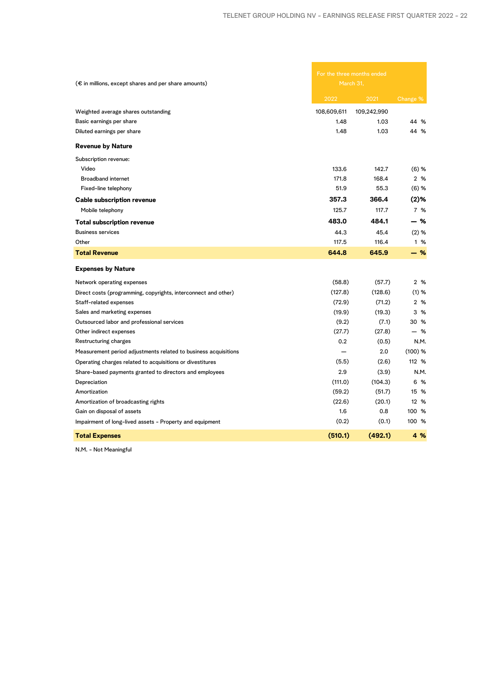| $(\epsilon$ in millions, except shares and per share amounts)   | For the three months ended<br>March 31, |             |           |
|-----------------------------------------------------------------|-----------------------------------------|-------------|-----------|
|                                                                 | 2022                                    | 2021        | Change %  |
| Weighted average shares outstanding                             | 108,609,611                             | 109,242,990 |           |
| Basic earnings per share                                        | 1.48                                    | 1.03        | 44 %      |
| Diluted earnings per share                                      | 1.48                                    | 1.03        | 44 %      |
| <b>Revenue by Nature</b>                                        |                                         |             |           |
| Subscription revenue:                                           |                                         |             |           |
| Video                                                           | 133.6                                   | 142.7       | $(6)$ %   |
| <b>Broadband internet</b>                                       | 171.8                                   | 168.4       | 2 %       |
| Fixed-line telephony                                            | 51.9                                    | 55.3        | $(6)$ %   |
| <b>Cable subscription revenue</b>                               | 357.3                                   | 366.4       | $(2)$ %   |
| Mobile telephony                                                | 125.7                                   | 117.7       | 7 %       |
| <b>Total subscription revenue</b>                               | 483.0                                   | 484.1       | - %       |
| <b>Business services</b>                                        | 44.3                                    | 45.4        | $(2)$ %   |
| Other                                                           | 117.5                                   | 116.4       | 1 %       |
| <b>Total Revenue</b>                                            | 644.8                                   | 645.9       | $-$ %     |
| <b>Expenses by Nature</b>                                       |                                         |             |           |
| Network operating expenses                                      | (58.8)                                  | (57.7)      | 2 %       |
| Direct costs (programming, copyrights, interconnect and other)  | (127.8)                                 | (128.6)     | (1) %     |
| Staff-related expenses                                          | (72.9)                                  | (71.2)      | 2 %       |
| Sales and marketing expenses                                    | (19.9)                                  | (19.3)      | 3 %       |
| Outsourced labor and professional services                      | (9.2)                                   | (7.1)       | 30 %      |
| Other indirect expenses                                         | (27.7)                                  | (27.8)      | - %       |
| Restructuring charges                                           | 0.2                                     | (0.5)       | N.M.      |
| Measurement period adjustments related to business acquisitions |                                         | 2.0         | $(100)$ % |
| Operating charges related to acquisitions or divestitures       | (5.5)                                   | (2.6)       | 112 %     |
| Share-based payments granted to directors and employees         | 2.9                                     | (3.9)       | N.M.      |
| Depreciation                                                    | (111.0)                                 | (104.3)     | 6 %       |
| Amortization                                                    | (59.2)                                  | (51.7)      | 15 %      |
| Amortization of broadcasting rights                             | (22.6)                                  | (20.1)      | 12 %      |
| Gain on disposal of assets                                      | 1.6                                     | 0.8         | 100 %     |
| Impairment of long-lived assets - Property and equipment        | (0.2)                                   | (0.1)       | 100 %     |
| <b>Total Expenses</b>                                           | (510.1)                                 | (492.1)     | 4 %       |

N.M. - Not Meaningful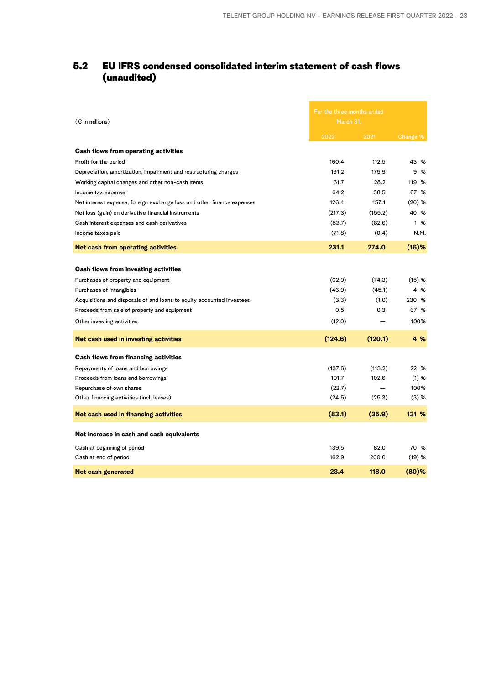## 5.2 EU IFRS condensed consolidated interim statement of cash flows (unaudited)

| $(\epsilon$ in millions)                                               | For the three months ended<br>March 31, |         |          |
|------------------------------------------------------------------------|-----------------------------------------|---------|----------|
|                                                                        | 2022                                    | 2021    | Change % |
| Cash flows from operating activities                                   |                                         |         |          |
| Profit for the period                                                  | 160.4                                   | 112.5   | 43 %     |
| Depreciation, amortization, impairment and restructuring charges       | 191.2                                   | 175.9   | 9 %      |
| Working capital changes and other non-cash items                       | 61.7                                    | 28.2    | 119 %    |
| Income tax expense                                                     | 64.2                                    | 38.5    | 67 %     |
| Net interest expense, foreign exchange loss and other finance expenses | 126.4                                   | 157.1   | $(20)$ % |
| Net loss (gain) on derivative financial instruments                    | (217.3)                                 | (155.2) | 40 %     |
| Cash interest expenses and cash derivatives                            | (83.7)                                  | (82.6)  | 1 %      |
| Income taxes paid                                                      | (71.8)                                  | (0.4)   | N.M.     |
| <b>Net cash from operating activities</b>                              | 231.1                                   | 274.0   | (16)%    |
|                                                                        |                                         |         |          |
| <b>Cash flows from investing activities</b>                            |                                         |         |          |
| Purchases of property and equipment                                    | (62.9)                                  | (74.3)  | (15) %   |
| Purchases of intangibles                                               | (46.9)                                  | (45.1)  | 4 %      |
| Acquisitions and disposals of and loans to equity accounted investees  | (3.3)                                   | (1.0)   | 230 %    |
| Proceeds from sale of property and equipment                           | 0.5                                     | 0.3     | 67 %     |
| Other investing activities                                             | (12.0)                                  |         | 100%     |
| Net cash used in investing activities                                  | (124.6)                                 | (120.1) | 4 %      |
| Cash flows from financing activities                                   |                                         |         |          |
| Repayments of loans and borrowings                                     | (137.6)                                 | (113.2) | 22 %     |
| Proceeds from loans and borrowings                                     | 101.7                                   | 102.6   | (1) %    |
| Repurchase of own shares                                               | (22.7)                                  |         | 100%     |
| Other financing activities (incl. leases)                              | (24.5)                                  | (25.3)  | (3) %    |
| Net cash used in financing activities                                  | (83.1)                                  | (35.9)  | 131 %    |
| Net increase in cash and cash equivalents                              |                                         |         |          |
| Cash at beginning of period                                            | 139.5                                   | 82.0    | 70 %     |
| Cash at end of period                                                  | 162.9                                   | 200.0   | (19) %   |
| Net cash generated                                                     | 23.4                                    | 118.0   | $(80)$ % |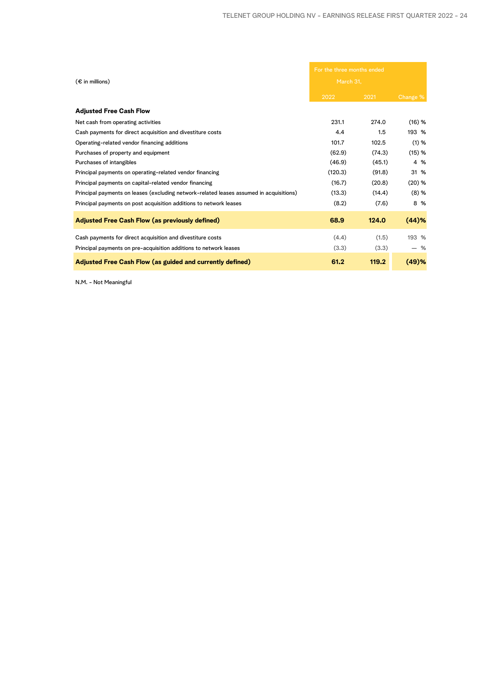| For the three months ended<br>$(\epsilon$ in millions)<br>March 31,                     |         |        |          |
|-----------------------------------------------------------------------------------------|---------|--------|----------|
|                                                                                         | 2022    | 2021   | Change % |
| <b>Adjusted Free Cash Flow</b>                                                          |         |        |          |
| Net cash from operating activities                                                      | 231.1   | 274.0  | (16) %   |
| Cash payments for direct acquisition and divestiture costs                              | 4.4     | 1.5    | 193 %    |
| Operating-related vendor financing additions                                            | 101.7   | 102.5  | (1) %    |
| Purchases of property and equipment                                                     | (62.9)  | (74.3) | (15) %   |
| Purchases of intangibles                                                                | (46.9)  | (45.1) | 4 %      |
| Principal payments on operating-related vendor financing                                | (120.3) | (91.8) | 31 %     |
| Principal payments on capital-related vendor financing                                  | (16.7)  | (20.8) | (20) %   |
| Principal payments on leases (excluding network-related leases assumed in acquisitions) | (13.3)  | (14.4) | (8) %    |
| Principal payments on post acquisition additions to network leases                      | (8.2)   | (7.6)  | 8 %      |
| <b>Adjusted Free Cash Flow (as previously defined)</b>                                  | 68.9    | 124.0  | (44)%    |
| Cash payments for direct acquisition and divestiture costs                              | (4.4)   | (1.5)  | 193 %    |
| Principal payments on pre-acquisition additions to network leases                       | (3.3)   | (3.3)  | - %      |
| <b>Adjusted Free Cash Flow (as guided and currently defined)</b>                        | 61.2    | 119.2  | (49)%    |

N.M. - Not Meaningful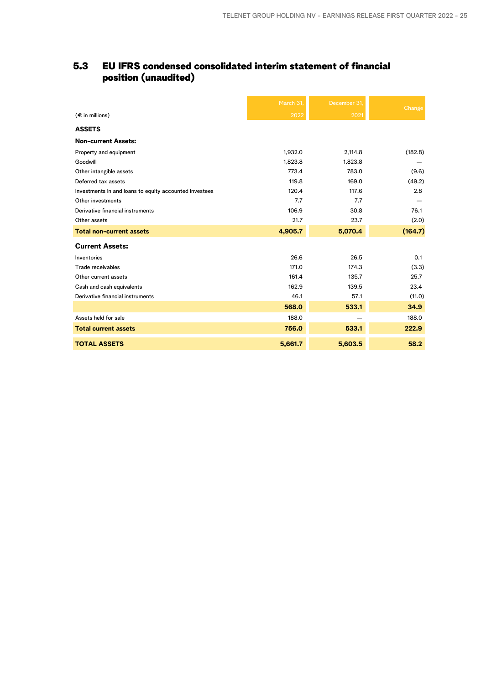## 5.3 EU IFRS condensed consolidated interim statement of financial position (unaudited)

|                                                        | March 31, | December 31. | Change  |
|--------------------------------------------------------|-----------|--------------|---------|
| $(\epsilon$ in millions)                               | 2022      | 2021         |         |
| <b>ASSETS</b>                                          |           |              |         |
| <b>Non-current Assets:</b>                             |           |              |         |
| Property and equipment                                 | 1,932.0   | 2,114.8      | (182.8) |
| Goodwill                                               | 1,823.8   | 1,823.8      |         |
| Other intangible assets                                | 773.4     | 783.0        | (9.6)   |
| Deferred tax assets                                    | 119.8     | 169.0        | (49.2)  |
| Investments in and loans to equity accounted investees | 120.4     | 117.6        | 2.8     |
| Other investments                                      | 7.7       | 7.7          |         |
| Derivative financial instruments                       | 106.9     | 30.8         | 76.1    |
| Other assets                                           | 21.7      | 23.7         | (2.0)   |
| <b>Total non-current assets</b>                        | 4,905.7   | 5,070.4      | (164.7) |
| <b>Current Assets:</b>                                 |           |              |         |
| Inventories                                            | 26.6      | 26.5         | 0.1     |
| Trade receivables                                      | 171.0     | 174.3        | (3.3)   |
| Other current assets                                   | 161.4     | 135.7        | 25.7    |
| Cash and cash equivalents                              | 162.9     | 139.5        | 23.4    |
| Derivative financial instruments                       | 46.1      | 57.1         | (11.0)  |
|                                                        | 568.0     | 533.1        | 34.9    |
| Assets held for sale                                   | 188.0     |              | 188.0   |
| <b>Total current assets</b>                            | 756.0     | 533.1        | 222.9   |
| <b>TOTAL ASSETS</b>                                    | 5,661.7   | 5,603.5      | 58.2    |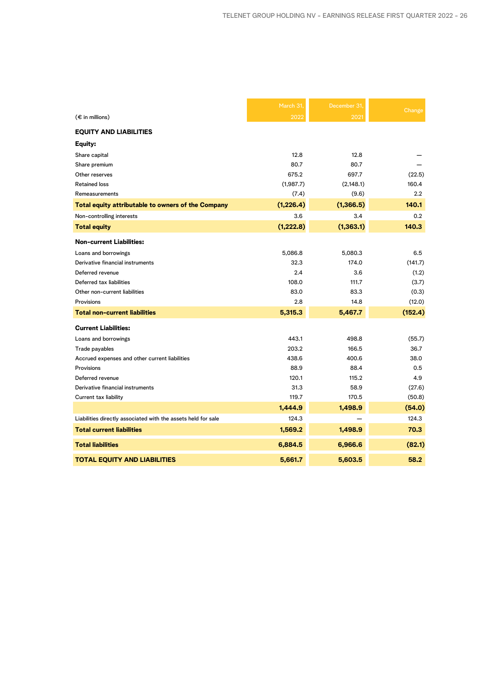|                                                               | March 31,  | December 31 |         |
|---------------------------------------------------------------|------------|-------------|---------|
| $(\epsilon$ in millions)                                      | 2022       | 2021        | Change  |
| <b>EQUITY AND LIABILITIES</b>                                 |            |             |         |
| Equity:                                                       |            |             |         |
| Share capital                                                 | 12.8       | 12.8        |         |
| Share premium                                                 | 80.7       | 80.7        |         |
| Other reserves                                                | 675.2      | 697.7       | (22.5)  |
| <b>Retained loss</b>                                          | (1,987.7)  | (2, 148.1)  | 160.4   |
| <b>Remeasurements</b>                                         | (7.4)      | (9.6)       | 2.2     |
| Total equity attributable to owners of the Company            | (1, 226.4) | (1, 366.5)  | 140.1   |
| Non-controlling interests                                     | 3.6        | 3.4         | 0.2     |
| <b>Total equity</b>                                           | (1, 222.8) | (1, 363.1)  | 140.3   |
| <b>Non-current Liabilities:</b>                               |            |             |         |
| Loans and borrowings                                          | 5,086.8    | 5,080.3     | 6.5     |
| Derivative financial instruments                              | 32.3       | 174.0       | (141.7) |
| Deferred revenue                                              | 2.4        | 3.6         | (1.2)   |
| Deferred tax liabilities                                      | 108.0      | 111.7       | (3.7)   |
| Other non-current liabilities                                 | 83.0       | 83.3        | (0.3)   |
| Provisions                                                    | 2.8        | 14.8        | (12.0)  |
| <b>Total non-current liabilities</b>                          | 5,315.3    | 5,467.7     | (152.4) |
| <b>Current Liabilities:</b>                                   |            |             |         |
| Loans and borrowings                                          | 443.1      | 498.8       | (55.7)  |
| Trade payables                                                | 203.2      | 166.5       | 36.7    |
| Accrued expenses and other current liabilities                | 438.6      | 400.6       | 38.0    |
| Provisions                                                    | 88.9       | 88.4        | 0.5     |
| Deferred revenue                                              | 120.1      | 115.2       | 4.9     |
| Derivative financial instruments                              | 31.3       | 58.9        | (27.6)  |
| Current tax liability                                         | 119.7      | 170.5       | (50.8)  |
|                                                               | 1,444.9    | 1,498.9     | (54.0)  |
| Liabilities directly associated with the assets held for sale | 124.3      |             | 124.3   |
| <b>Total current liabilities</b>                              | 1,569.2    | 1,498.9     | 70.3    |
| <b>Total liabilities</b>                                      | 6,884.5    | 6,966.6     | (82.1)  |
| <b>TOTAL EQUITY AND LIABILITIES</b>                           | 5,661.7    | 5,603.5     | 58.2    |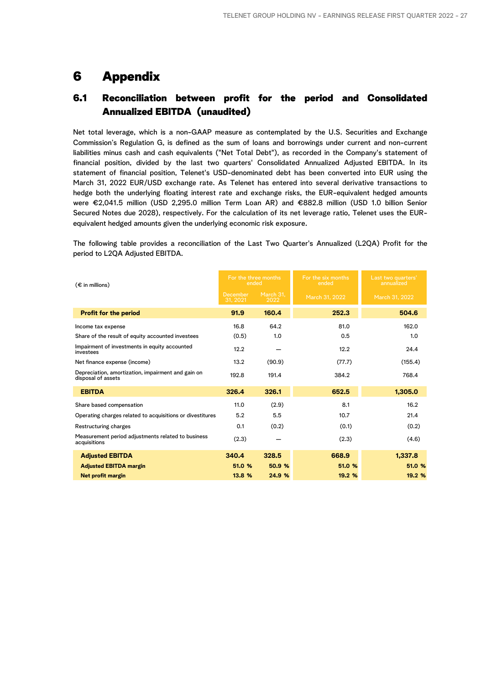## 6 Appendix

## 6.1 Reconciliation between profit for the period and Consolidated Annualized EBITDA (unaudited)

Net total leverage, which is a non-GAAP measure as contemplated by the U.S. Securities and Exchange Commission's Regulation G, is defined as the sum of loans and borrowings under current and non-current liabilities minus cash and cash equivalents ("Net Total Debt"), as recorded in the Company's statement of financial position, divided by the last two quarters' Consolidated Annualized Adjusted EBITDA. In its statement of financial position, Telenet's USD-denominated debt has been converted into EUR using the March 31, 2022 EUR/USD exchange rate. As Telenet has entered into several derivative transactions to hedge both the underlying floating interest rate and exchange risks, the EUR-equivalent hedged amounts were €2,041.5 million (USD 2,295.0 million Term Loan AR) and €882.8 million (USD 1.0 billion Senior Secured Notes due 2028), respectively. For the calculation of its net leverage ratio, Telenet uses the EURequivalent hedged amounts given the underlying economic risk exposure.

The following table provides a reconciliation of the Last Two Quarter's Annualized (L2QA) Profit for the period to L2QA Adjusted EBITDA.

| $(\epsilon$ in millions)                                                 | For the three months<br>ended |                   | For the six months<br>ended | Last two quarters'<br>annualized |
|--------------------------------------------------------------------------|-------------------------------|-------------------|-----------------------------|----------------------------------|
|                                                                          | December<br>31.2021           | March 31.<br>2022 | March 31, 2022              | March 31, 2022                   |
| <b>Profit for the period</b>                                             | 91.9                          | 160.4             | 252.3                       | 504.6                            |
| Income tax expense                                                       | 16.8                          | 64.2              | 81.0                        | 162.0                            |
| Share of the result of equity accounted investees                        | (0.5)                         | 1.0               | 0.5                         | 1.0                              |
| Impairment of investments in equity accounted<br>investees               | 12.2                          |                   | 12.2                        | 24.4                             |
| Net finance expense (income)                                             | 13.2                          | (90.9)            | (77.7)                      | (155.4)                          |
| Depreciation, amortization, impairment and gain on<br>disposal of assets | 192.8                         | 191.4             | 384.2                       | 768.4                            |
| <b>EBITDA</b>                                                            | 326.4                         | 326.1             | 652.5                       | 1,305.0                          |
| Share based compensation                                                 | 11.0                          | (2.9)             | 8.1                         | 16.2                             |
| Operating charges related to acquisitions or divestitures                | 5.2                           | 5.5               | 10.7                        | 21.4                             |
| Restructuring charges                                                    | 0.1                           | (0.2)             | (0.1)                       | (0.2)                            |
| Measurement period adjustments related to business<br>acquisitions       | (2.3)                         |                   | (2.3)                       | (4.6)                            |
| <b>Adjusted EBITDA</b>                                                   | 340.4                         | 328.5             | 668.9                       | 1,337.8                          |
| <b>Adjusted EBITDA margin</b>                                            | 51.0 %                        | 50.9 %            | 51.0 %                      | 51.0 %                           |
| Net profit margin                                                        | 13.8 %                        | 24.9 %            | 19.2 %                      | 19.2 %                           |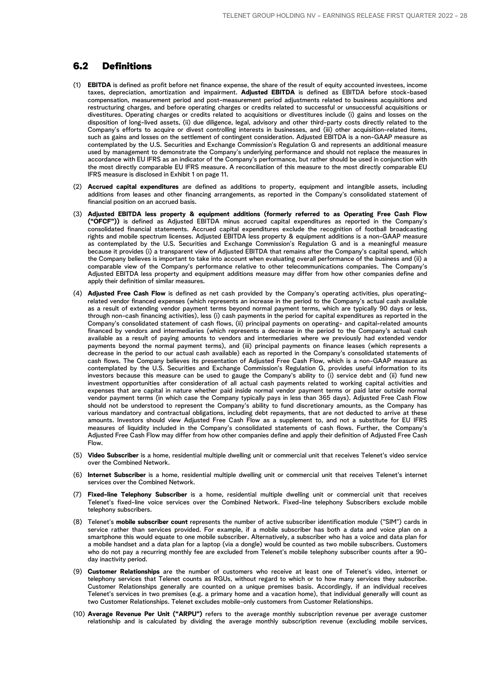## 6.2 Definitions

- (1) **EBITDA** is defined as profit before net finance expense, the share of the result of equity accounted investees, income taxes, depreciation, amortization and impairment. **Adjusted EBITDA** is defined as EBITDA before stock-based compensation, measurement period and post-measurement period adjustments related to business acquisitions and restructuring charges, and before operating charges or credits related to successful or unsuccessful acquisitions or divestitures. Operating charges or credits related to acquisitions or divestitures include (i) gains and losses on the disposition of long-lived assets, (ii) due diligence, legal, advisory and other third-party costs directly related to the Company's efforts to acquire or divest controlling interests in businesses, and (iii) other acquisition-related items, such as gains and losses on the settlement of contingent consideration. Adjusted EBITDA is a non-GAAP measure as contemplated by the U.S. Securities and Exchange Commission's Regulation G and represents an additional measure used by management to demonstrate the Company's underlying performance and should not replace the measures in accordance with EU IFRS as an indicator of the Company's performance, but rather should be used in conjunction with the most directly comparable EU IFRS measure. A reconciliation of this measure to the most directly comparable EU IFRS measure is disclosed in Exhibit 1 on page 11.
- (2) **Accrued capital expenditures** are defined as additions to property, equipment and intangible assets, including additions from leases and other financing arrangements, as reported in the Company's consolidated statement of financial position on an accrued basis.
- (3) **Adjusted EBITDA less property & equipment additions (formerly referred to as Operating Free Cash Flow ("OFCF"))** is defined as Adjusted EBITDA minus accrued capital expenditures as reported in the Company's consolidated financial statements. Accrued capital expenditures exclude the recognition of football broadcasting rights and mobile spectrum licenses. Adjusted EBITDA less property & equipment additions is a non-GAAP measure as contemplated by the U.S. Securities and Exchange Commission's Regulation G and is a meaningful measure because it provides (i) a transparent view of Adjusted EBITDA that remains after the Company's capital spend, which the Company believes is important to take into account when evaluating overall performance of the business and (ii) a comparable view of the Company's performance relative to other telecommunications companies. The Company's Adjusted EBITDA less property and equipment additions measure may differ from how other companies define and apply their definition of similar measures.
- (4) **Adjusted Free Cash Flow** is defined as net cash provided by the Company's operating activities, plus operatingrelated vendor financed expenses (which represents an increase in the period to the Company's actual cash available as a result of extending vendor payment terms beyond normal payment terms, which are typically 90 days or less, through non-cash financing activities), less (i) cash payments in the period for capital expenditures as reported in the Company's consolidated statement of cash flows, (ii) principal payments on operating- and capital-related amounts financed by vendors and intermediaries (which represents a decrease in the period to the Company's actual cash available as a result of paying amounts to vendors and intermediaries where we previously had extended vendor payments beyond the normal payment terms), and (iii) principal payments on finance leases (which represents a decrease in the period to our actual cash available) each as reported in the Company's consolidated statements of cash flows. The Company believes its presentation of Adjusted Free Cash Flow, which is a non-GAAP measure as contemplated by the U.S. Securities and Exchange Commission's Regulation G, provides useful information to its investors because this measure can be used to gauge the Company's ability to (i) service debt and (ii) fund new investment opportunities after consideration of all actual cash payments related to working capital activities and expenses that are capital in nature whether paid inside normal vendor payment terms or paid later outside normal vendor payment terms (in which case the Company typically pays in less than 365 days). Adjusted Free Cash Flow should not be understood to represent the Company's ability to fund discretionary amounts, as the Company has various mandatory and contractual obligations, including debt repayments, that are not deducted to arrive at these amounts. Investors should view Adjusted Free Cash Flow as a supplement to, and not a substitute for EU IFRS measures of liquidity included in the Company's consolidated statements of cash flows. Further, the Company's Adjusted Free Cash Flow may differ from how other companies define and apply their definition of Adjusted Free Cash Flow.
- (5) **Video Subscriber** is a home, residential multiple dwelling unit or commercial unit that receives Telenet's video service over the Combined Network.
- (6) **Internet Subscriber** is a home, residential multiple dwelling unit or commercial unit that receives Telenet's internet services over the Combined Network.
- (7) **Fixed-line Telephony Subscriber** is a home, residential multiple dwelling unit or commercial unit that receives Telenet's fixed-line voice services over the Combined Network. Fixed-line telephony Subscribers exclude mobile telephony subscribers.
- (8) Telenet's **mobile subscriber count** represents the number of active subscriber identification module ("SIM") cards in service rather than services provided. For example, if a mobile subscriber has both a data and voice plan on a smartphone this would equate to one mobile subscriber. Alternatively, a subscriber who has a voice and data plan for a mobile handset and a data plan for a laptop (via a dongle) would be counted as two mobile subscribers. Customers who do not pay a recurring monthly fee are excluded from Telenet's mobile telephony subscriber counts after a 90 day inactivity period.
- (9) **Customer Relationships** are the number of customers who receive at least one of Telenet's video, internet or telephony services that Telenet counts as RGUs, without regard to which or to how many services they subscribe. Customer Relationships generally are counted on a unique premises basis. Accordingly, if an individual receives Telenet's services in two premises (e.g. a primary home and a vacation home), that individual generally will count as two Customer Relationships. Telenet excludes mobile-only customers from Customer Relationships.
- (10) **Average Revenue Per Unit ("ARPU")** refers to the average monthly subscription revenue per average customer relationship and is calculated by dividing the average monthly subscription revenue (excluding mobile services,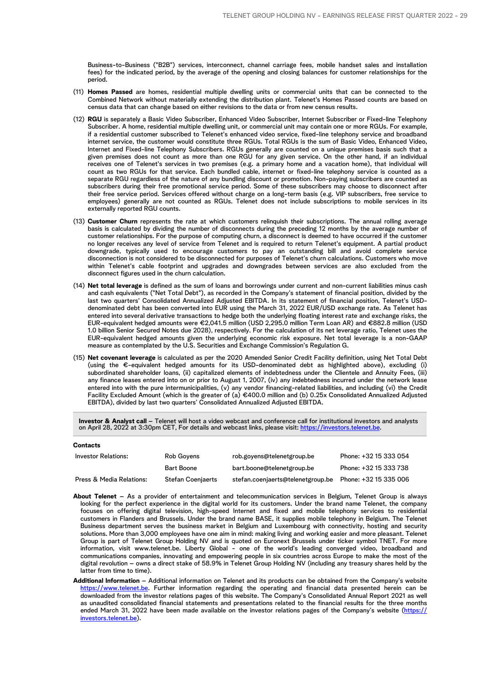Business-to-Business ("B2B") services, interconnect, channel carriage fees, mobile handset sales and installation fees) for the indicated period, by the average of the opening and closing balances for customer relationships for the period.

- (11) **Homes Passed** are homes, residential multiple dwelling units or commercial units that can be connected to the Combined Network without materially extending the distribution plant. Telenet's Homes Passed counts are based on census data that can change based on either revisions to the data or from new census results.
- (12) **RGU** is separately a Basic Video Subscriber, Enhanced Video Subscriber, Internet Subscriber or Fixed-line Telephony Subscriber. A home, residential multiple dwelling unit, or commercial unit may contain one or more RGUs. For example, if a residential customer subscribed to Telenet's enhanced video service, fixed-line telephony service and broadband internet service, the customer would constitute three RGUs. Total RGUs is the sum of Basic Video, Enhanced Video, Internet and Fixed-line Telephony Subscribers. RGUs generally are counted on a unique premises basis such that a given premises does not count as more than one RGU for any given service. On the other hand, if an individual receives one of Telenet's services in two premises (e.g. a primary home and a vacation home), that individual will count as two RGUs for that service. Each bundled cable, internet or fixed-line telephony service is counted as a separate RGU regardless of the nature of any bundling discount or promotion. Non-paying subscribers are counted as subscribers during their free promotional service period. Some of these subscribers may choose to disconnect after their free service period. Services offered without charge on a long-term basis (e.g. VIP subscribers, free service to employees) generally are not counted as RGUs. Telenet does not include subscriptions to mobile services in its externally reported RGU counts.
- (13) **Customer Churn** represents the rate at which customers relinquish their subscriptions. The annual rolling average basis is calculated by dividing the number of disconnects during the preceding 12 months by the average number of customer relationships. For the purpose of computing churn, a disconnect is deemed to have occurred if the customer no longer receives any level of service from Telenet and is required to return Telenet's equipment. A partial product downgrade, typically used to encourage customers to pay an outstanding bill and avoid complete service disconnection is not considered to be disconnected for purposes of Telenet's churn calculations. Customers who move within Telenet's cable footprint and upgrades and downgrades between services are also excluded from the disconnect figures used in the churn calculation.
- (14) **Net total leverage** is defined as the sum of loans and borrowings under current and non-current liabilities minus cash and cash equivalents ("Net Total Debt"), as recorded in the Company's statement of financial position, divided by the last two quarters' Consolidated Annualized Adjusted EBITDA. In its statement of financial position, Telenet's USDdenominated debt has been converted into EUR using the March 31, 2022 EUR/USD exchange rate. As Telenet has entered into several derivative transactions to hedge both the underlying floating interest rate and exchange risks, the EUR-equivalent hedged amounts were €2,041.5 million (USD 2,295.0 million Term Loan AR) and €882.8 million (USD 1.0 billion Senior Secured Notes due 2028), respectively. For the calculation of its net leverage ratio, Telenet uses the EUR-equivalent hedged amounts given the underlying economic risk exposure. Net total leverage is a non-GAAP measure as contemplated by the U.S. Securities and Exchange Commission's Regulation G.
- (15) **Net covenant leverage** is calculated as per the 2020 Amended Senior Credit Facility definition, using Net Total Debt (using the €-equivalent hedged amounts for its USD-denominated debt as highlighted above), excluding (i) subordinated shareholder loans, (ii) capitalized elements of indebtedness under the Clientele and Annuity Fees, (iii) any finance leases entered into on or prior to August 1, 2007, (iv) any indebtedness incurred under the network lease entered into with the pure intermunicipalities, (v) any vendor financing-related liabilities, and including (vi) the Credit Facility Excluded Amount (which is the greater of (a) €400.0 million and (b) 0.25x Consolidated Annualized Adjusted EBITDA), divided by last two quarters' Consolidated Annualized Adjusted EBITDA.

**Investor & Analyst call** – Telenet will host a video webcast and conference call for institutional investors and analysts on April 28, 2022 at 3:30pm CET, For details and webcast links, please visit: [https://investors.telenet.be](http://investors.telenet.be).

| <b>Contacts</b>            |                          |                                   |                       |
|----------------------------|--------------------------|-----------------------------------|-----------------------|
| <b>Investor Relations:</b> | Rob Govens               | rob.govens@telenetgroup.be        | Phone: +32 15 333 054 |
|                            | <b>Bart Boone</b>        | bart.boone@telenetgroup.be        | Phone: +32 15 333 738 |
| Press & Media Relations:   | <b>Stefan Coenjaerts</b> | stefan.coenjaerts@telenetgroup.be | Phone: +32 15 335 006 |

- **About Telenet** As a provider of entertainment and telecommunication services in Belgium, Telenet Group is always looking for the perfect experience in the digital world for its customers. Under the brand name Telenet, the company focuses on offering digital television, high-speed Internet and fixed and mobile telephony services to residential customers in Flanders and Brussels. Under the brand name BASE, it supplies mobile telephony in Belgium. The Telenet Business department serves the business market in Belgium and Luxembourg with connectivity, hosting and security solutions. More than 3,000 employees have one aim in mind: making living and working easier and more pleasant. Telenet Group is part of Telenet Group Holding NV and is quoted on Euronext Brussels under ticker symbol TNET. For more information, visit www.telenet.be. Liberty Global - one of the world's leading converged video, broadband and communications companies, innovating and empowering people in six countries across Europe to make the most of the digital revolution – owns a direct stake of 58.9% in Telenet Group Holding NV (including any treasury shares held by the latter from time to time).
- **Additional Information**  Additional information on Telenet and its products can be obtained from the Company's website [https://www.telenet.be](https://www2.telenet.be/nl/). Further information regarding the operating and financial data presented herein can be downloaded from the investor relations pages of this website. The Company's Consolidated Annual Report 2021 as well as unaudited consolidated financial statements and presentations related to the financial results for the three months ended March 31, 2022 have been made available on the investor relations pages of the Company's website [\(https://](http://investors.telenet.be) [investors.telenet.be](http://investors.telenet.be)).